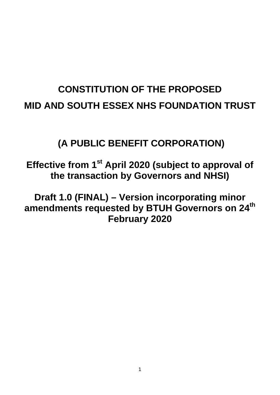# **CONSTITUTION OF THE PROPOSED MID AND SOUTH ESSEX NHS FOUNDATION TRUST**

## **(A PUBLIC BENEFIT CORPORATION)**

**Effective from 1st April 2020 (subject to approval of the transaction by Governors and NHSI)**

**Draft 1.0 (FINAL) – Version incorporating minor amendments requested by BTUH Governors on 24th February 2020**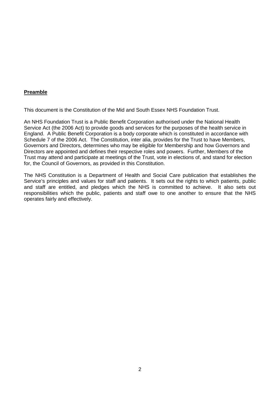## **Preamble**

This document is the Constitution of the Mid and South Essex NHS Foundation Trust.

An NHS Foundation Trust is a Public Benefit Corporation authorised under the National Health Service Act (the 2006 Act) to provide goods and services for the purposes of the health service in England. A Public Benefit Corporation is a body corporate which is constituted in accordance with Schedule 7 of the 2006 Act. The Constitution, inter alia, provides for the Trust to have Members, Governors and Directors, determines who may be eligible for Membership and how Governors and Directors are appointed and defines their respective roles and powers. Further, Members of the Trust may attend and participate at meetings of the Trust, vote in elections of, and stand for election for, the Council of Governors, as provided in this Constitution.

The NHS Constitution is a Department of Health and Social Care publication that establishes the Service's principles and values for staff and patients. It sets out the rights to which patients, public and staff are entitled, and pledges which the NHS is committed to achieve. It also sets out responsibilities which the public, patients and staff owe to one another to ensure that the NHS operates fairly and effectively.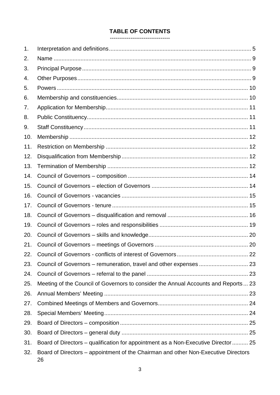## **TABLE OF CONTENTS**

#### --------------------------------

| 1.  |                                                                                          |  |
|-----|------------------------------------------------------------------------------------------|--|
| 2.  |                                                                                          |  |
| 3.  |                                                                                          |  |
| 4.  |                                                                                          |  |
| 5.  |                                                                                          |  |
| 6.  |                                                                                          |  |
| 7.  |                                                                                          |  |
| 8.  |                                                                                          |  |
| 9.  |                                                                                          |  |
| 10. |                                                                                          |  |
| 11. |                                                                                          |  |
| 12. |                                                                                          |  |
| 13. |                                                                                          |  |
| 14. |                                                                                          |  |
| 15. |                                                                                          |  |
| 16. |                                                                                          |  |
| 17. |                                                                                          |  |
| 18. |                                                                                          |  |
| 19. |                                                                                          |  |
| 20. |                                                                                          |  |
| 21. |                                                                                          |  |
| 22. |                                                                                          |  |
| 23. |                                                                                          |  |
| 24. |                                                                                          |  |
| 25. | Meeting of the Council of Governors to consider the Annual Accounts and Reports 23       |  |
| 26. |                                                                                          |  |
| 27. |                                                                                          |  |
| 28. |                                                                                          |  |
| 29. |                                                                                          |  |
| 30. |                                                                                          |  |
| 31. | Board of Directors – qualification for appointment as a Non-Executive Director  25       |  |
| 32. | Board of Directors – appointment of the Chairman and other Non-Executive Directors<br>26 |  |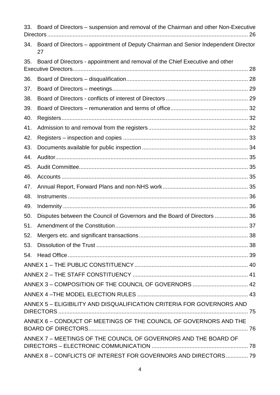| 33. | Board of Directors – suspension and removal of the Chairman and other Non-Executive       |  |  |
|-----|-------------------------------------------------------------------------------------------|--|--|
| 34. | Board of Directors - appointment of Deputy Chairman and Senior Independent Director<br>27 |  |  |
| 35. | Board of Directors - appointment and removal of the Chief Executive and other             |  |  |
| 36. |                                                                                           |  |  |
| 37. |                                                                                           |  |  |
| 38. |                                                                                           |  |  |
| 39. |                                                                                           |  |  |
| 40. |                                                                                           |  |  |
| 41. |                                                                                           |  |  |
| 42. |                                                                                           |  |  |
| 43. |                                                                                           |  |  |
| 44. |                                                                                           |  |  |
| 45. |                                                                                           |  |  |
| 46. |                                                                                           |  |  |
| 47. |                                                                                           |  |  |
| 48. |                                                                                           |  |  |
| 49. |                                                                                           |  |  |
| 50. | Disputes between the Council of Governors and the Board of Directors  36                  |  |  |
| 51. |                                                                                           |  |  |
| 52. |                                                                                           |  |  |
| 53. |                                                                                           |  |  |
|     |                                                                                           |  |  |
|     |                                                                                           |  |  |
|     |                                                                                           |  |  |
|     |                                                                                           |  |  |
|     |                                                                                           |  |  |
|     | ANNEX 5 - ELIGIBILITY AND DISQUALIFICATION CRITERIA FOR GOVERNORS AND                     |  |  |
|     | ANNEX 6 - CONDUCT OF MEETINGS OF THE COUNCIL OF GOVERNORS AND THE                         |  |  |
|     | ANNEX 7 - MEETINGS OF THE COUNCIL OF GOVERNORS AND THE BOARD OF                           |  |  |
|     | ANNEX 8 - CONFLICTS OF INTEREST FOR GOVERNORS AND DIRECTORS 79                            |  |  |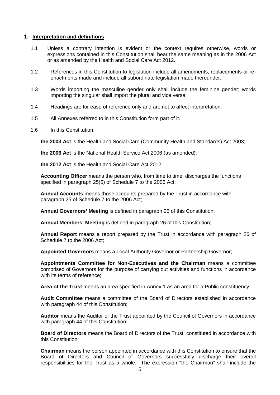#### <span id="page-4-0"></span>**1. Interpretation and definitions**

- 1.1 Unless a contrary intention is evident or the context requires otherwise, words or expressions contained in this Constitution shall bear the same meaning as in the 2006 Act or as amended by the Health and Social Care Act 2012.
- 1.2 References in this Constitution to legislation include all amendments, replacements or reenactments made and include all subordinate legislation made thereunder.
- 1.3 Words importing the masculine gender only shall include the feminine gender; words importing the singular shall import the plural and vice versa.
- 1.4 Headings are for ease of reference only and are not to affect interpretation.
- 1.5 All Annexes referred to in this Constitution form part of it.
- 1.6 In this Constitution:

**the 2003 Act** is the Health and Social Care (Community Health and Standards) Act 2003;

**the 2006 Act** is the National Health Service Act 2006 (as amended);

**the 2012 Act** is the Health and Social Care Act 2012;

**Accounting Officer** means the person who, from time to time, discharges the functions specified in paragraph 25(5) of Schedule 7 to the 2006 Act;

**Annual Accounts** means those accounts prepared by the Trust in accordance with paragraph 25 of Schedule 7 to the 2006 Act;

**Annual Governors' Meeting** is defined in paragraph [25](#page-22-2) of this Constitution;

**Annual Members' Meeting** is defined in paragraph [26](#page-22-3) of this Constitution;

**Annual Report** means a report prepared by the Trust in accordance with paragraph 26 of Schedule 7 to the 2006 Act;

**Appointed Governors** means a Local Authority Governor or Partnership Governor;

**Appointments Committee for Non-Executives and the Chairman** means a committee comprised of Governors for the purpose of carrying out activities and functions in accordance with its terms of reference;

**Area of the Trust** means an area specified in Annex 1 as an area for a Public constituency;

**Audit Committee** means a committee of the Board of Directors established in accordance with paragraph 44 of this Constitution:

**Auditor** means the Auditor of the Trust appointed by the Council of Governors in accordance with paragraph [44](#page-34-0) of this Constitution;

**Board of Directors** means the Board of Directors of the Trust, constituted in accordance with this Constitution;

**Chairman** means the person appointed in accordance with this Constitution to ensure that the Board of Directors and Council of Governors successfully discharge their overall responsibilities for the Trust as a whole. The expression "the Chairman" shall include the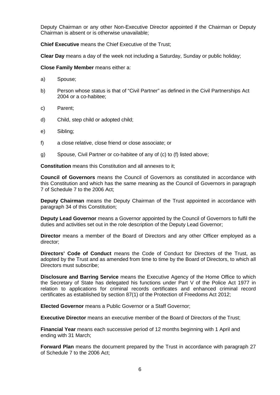Deputy Chairman or any other Non-Executive Director appointed if the Chairman or Deputy Chairman is absent or is otherwise unavailable;

**Chief Executive** means the Chief Executive of the Trust;

**Clear Day** means a day of the week not including a Saturday, Sunday or public holiday;

**Close Family Member** means either a:

- a) Spouse;
- b) Person whose status is that of "Civil Partner" as defined in the Civil Partnerships Act 2004 or a co-habitee;
- c) Parent;
- d) Child, step child or adopted child;
- e) Sibling;
- f) a close relative, close friend or close associate; or
- g) Spouse, Civil Partner or co-habitee of any of (c) to (f) listed above;

**Constitution** means this Constitution and all annexes to it;

**Council of Governors** means the Council of Governors as constituted in accordance with this Constitution and which has the same meaning as the Council of Governors in paragraph 7 of Schedule 7 to the 2006 Act;

**Deputy Chairman** means the Deputy Chairman of the Trust appointed in accordance with paragraph [34](#page-26-0) of this Constitution;

**Deputy Lead Governor** means a Governor appointed by the Council of Governors to fulfil the duties and activities set out in the role description of the Deputy Lead Governor;

**Director** means a member of the Board of Directors and any other Officer employed as a director;

**Directors' Code of Conduct** means the Code of Conduct for Directors of the Trust, as adopted by the Trust and as amended from time to time by the Board of Directors, to which all Directors must subscribe;

**Disclosure and Barring Service** means the Executive Agency of the Home Office to which the Secretary of State has delegated his functions under Part V of the Police Act 1977 in relation to applications for criminal records certificates and enhanced criminal record certificates as established by section 87(1) of the Protection of Freedoms Act 2012;

**Elected Governor** means a Public Governor or a Staff Governor;

**Executive Director** means an executive member of the Board of Directors of the Trust;

**Financial Year** means each successive period of 12 months beginning with 1 April and ending with 31 March;

**Forward Plan** means the document prepared by the Trust in accordance with paragraph 27 of Schedule 7 to the 2006 Act;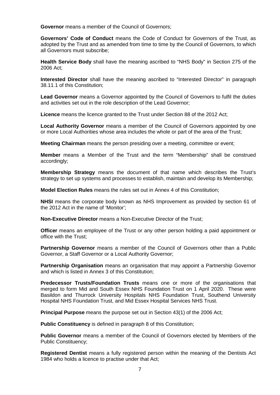**Governor** means a member of the Council of Governors;

**Governors' Code of Conduct** means the Code of Conduct for Governors of the Trust, as adopted by the Trust and as amended from time to time by the Council of Governors, to which all Governors must subscribe;

**Health Service Body** shall have the meaning ascribed to "NHS Body" in Section 275 of the 2006 Act;

**Interested Director** shall have the meaning ascribed to "Interested Director" in paragraph [38.11.1](#page-29-0) of this Constitution;

**Lead Governor** means a Governor appointed by the Council of Governors to fulfil the duties and activities set out in the role description of the Lead Governor;

**Licence** means the licence granted to the Trust under Section 88 of the 2012 Act;

**Local Authority Governor** means a member of the Council of Governors appointed by one or more Local Authorities whose area includes the whole or part of the area of the Trust;

**Meeting Chairman** means the person presiding over a meeting, committee or event;

**Member** means a Member of the Trust and the term "Membership" shall be construed accordingly;

**Membership Strategy** means the document of that name which describes the Trust's strategy to set up systems and processes to establish, maintain and develop its Membership;

**Model Election Rules** means the rules set out in Annex 4 of this Constitution;

**NHSI** means the corporate body known as NHS Improvement as provided by section 61 of the 2012 Act in the name of 'Monitor';

**Non-Executive Director** means a Non-Executive Director of the Trust;

**Officer** means an employee of the Trust or any other person holding a paid appointment or office with the Trust;

**Partnership Governor** means a member of the Council of Governors other than a Public Governor, a Staff Governor or a Local Authority Governor;

**Partnership Organisation** means an organisation that may appoint a Partnership Governor and which is listed in Annex 3 of this Constitution;

**Predecessor Trusts/Foundation Trusts** means one or more of the organisations that merged to form Mid and South Essex NHS Foundation Trust on 1 April 2020. These were Basildon and Thurrock University Hospitals NHS Foundation Trust, Southend University Hospital NHS Foundation Trust, and Mid Essex Hospital Services NHS Trust.

**Principal Purpose** means the purpose set out in Section 43(1) of the 2006 Act;

**Public Constituency** is defined in paragraph [8](#page-10-1) of this Constitution:

**Public Governor** means a member of the Council of Governors elected by Members of the Public Constituency;

**Registered Dentist** means a fully registered person within the meaning of the Dentists Act 1984 who holds a licence to practise under that Act;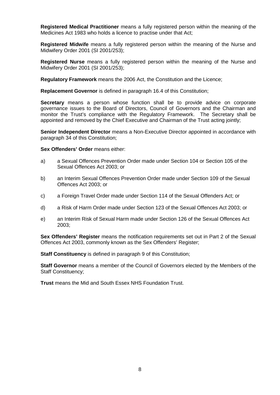**Registered Medical Practitioner** means a fully registered person within the meaning of the Medicines Act 1983 who holds a licence to practise under that Act;

**Registered Midwife** means a fully registered person within the meaning of the Nurse and Midwifery Order 2001 (SI 2001/253);

**Registered Nurse** means a fully registered person within the meaning of the Nurse and Midwifery Order 2001 (SI 2001/253);

**Regulatory Framework** means the 2006 Act, the Constitution and the Licence;

**Replacement Governor** is defined in paragraph [16.4](#page-14-2) of this Constitution;

**Secretary** means a person whose function shall be to provide advice on corporate governance issues to the Board of Directors, Council of Governors and the Chairman and monitor the Trust's compliance with the Regulatory Framework. The Secretary shall be appointed and removed by the Chief Executive and Chairman of the Trust acting jointly;

**Senior Independent Director** means a Non-Executive Director appointed in accordance with paragraph [34](#page-26-0) of this Constitution;

**Sex Offenders' Order** means either:

- a) a Sexual Offences Prevention Order made under Section 104 or Section 105 of the Sexual Offences Act 2003; or
- b) an Interim Sexual Offences Prevention Order made under Section 109 of the Sexual Offences Act 2003; or
- c) a Foreign Travel Order made under Section 114 of the Sexual Offenders Act; or
- d) a Risk of Harm Order made under Section 123 of the Sexual Offences Act 2003; or
- e) an Interim Risk of Sexual Harm made under Section 126 of the Sexual Offences Act 2003;

**Sex Offenders' Register** means the notification requirements set out in Part 2 of the Sexual Offences Act 2003, commonly known as the Sex Offenders' Register;

**Staff Constituency** is defined in paragraph [9](#page-10-2) of this Constitution:

**Staff Governor** means a member of the Council of Governors elected by the Members of the Staff Constituency;

**Trust** means the Mid and South Essex NHS Foundation Trust.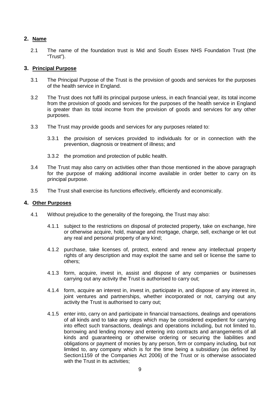## <span id="page-8-0"></span>**2. Name**

2.1 The name of the foundation trust is Mid and South Essex NHS Foundation Trust (the "Trust").

## <span id="page-8-1"></span>**3. Principal Purpose**

- 3.1 The Principal Purpose of the Trust is the provision of goods and services for the purposes of the health service in England.
- 3.2 The Trust does not fulfil its principal purpose unless, in each financial year, its total income from the provision of goods and services for the purposes of the health service in England is greater than its total income from the provision of goods and services for any other purposes.
- 3.3 The Trust may provide goods and services for any purposes related to:
	- 3.3.1 the provision of services provided to individuals for or in connection with the prevention, diagnosis or treatment of illness; and
	- 3.3.2 the promotion and protection of public health.
- 3.4 The Trust may also carry on activities other than those mentioned in the above paragraph for the purpose of making additional income available in order better to carry on its principal purpose.
- 3.5 The Trust shall exercise its functions effectively, efficiently and economically.

## <span id="page-8-2"></span>**4. Other Purposes**

- 4.1 Without prejudice to the generality of the foregoing, the Trust may also:
	- 4.1.1 subject to the restrictions on disposal of protected property, take on exchange, hire or otherwise acquire, hold, manage and mortgage, charge, sell, exchange or let out any real and personal property of any kind;
	- 4.1.2 purchase, take licenses of, protect, extend and renew any intellectual property rights of any description and may exploit the same and sell or license the same to others;
	- 4.1.3 form, acquire, invest in, assist and dispose of any companies or businesses carrying out any activity the Trust is authorised to carry out;
	- 4.1.4 form, acquire an interest in, invest in, participate in, and dispose of any interest in, joint ventures and partnerships, whether incorporated or not, carrying out any activity the Trust is authorised to carry out;
	- 4.1.5 enter into, carry on and participate in financial transactions, dealings and operations of all kinds and to take any steps which may be considered expedient for carrying into effect such transactions, dealings and operations including, but not limited to, borrowing and lending money and entering into contracts and arrangements of all kinds and guaranteeing or otherwise ordering or securing the liabilities and obligations or payment of monies by any person, firm or company including, but not limited to, any company which is for the time being a subsidiary (as defined by Section1159 of the Companies Act 2006) of the Trust or is otherwise associated with the Trust in its activities: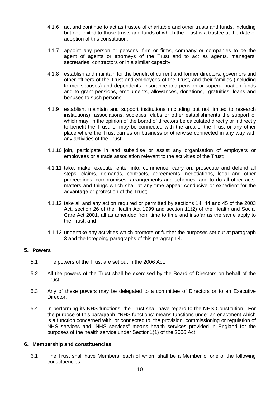- 4.1.6 act and continue to act as trustee of charitable and other trusts and funds, including but not limited to those trusts and funds of which the Trust is a trustee at the date of adoption of this constitution;
- 4.1.7 appoint any person or persons, firm or firms, company or companies to be the agent of agents or attorneys of the Trust and to act as agents, managers, secretaries, contractors or in a similar capacity;
- 4.1.8 establish and maintain for the benefit of current and former directors, governors and other officers of the Trust and employees of the Trust, and their families (including former spouses) and dependents, insurance and pension or superannuation funds and to grant pensions, emoluments, allowances, donations, gratuities, loans and bonuses to such persons;
- 4.1.9 establish, maintain and support institutions (including but not limited to research institutions), associations, societies, clubs or other establishments the support of which may, in the opinion of the board of directors be calculated directly or indirectly to benefit the Trust, or may be connected with the area of the Trust or any other place where the Trust carries on business or otherwise connected in any way with any activities of the Trust;
- 4.1.10 join, participate in and subsidise or assist any organisation of employers or employees or a trade association relevant to the activities of the Trust;
- 4.1.11 take, make, execute, enter into, commence, carry on, prosecute and defend all steps, claims, demands, contracts, agreements, negotiations, legal and other proceedings, compromises, arrangements and schemes, and to do all other acts, matters and things which shall at any time appear conducive or expedient for the advantage or protection of the Trust;
- 4.1.12 take all and any action required or permitted by sections 14, 44 and 45 of the 2003 Act, section 26 of the Health Act 1999 and section 11(2) of the Health and Social Care Act 2001, all as amended from time to time and insofar as the same apply to the Trust; and
- 4.1.13 undertake any activities which promote or further the purposes set out at paragraph 3 and the foregoing paragraphs of this paragraph 4.

## <span id="page-9-0"></span>**5. Powers**

- 5.1 The powers of the Trust are set out in the 2006 Act.
- 5.2 All the powers of the Trust shall be exercised by the Board of Directors on behalf of the Trust.
- 5.3 Any of these powers may be delegated to a committee of Directors or to an Executive Director.
- 5.4 In performing its NHS functions, the Trust shall have regard to the NHS Constitution. For the purpose of this paragraph, "NHS functions" means functions under an enactment which is a function concerned with, or connected to, the provision, commissioning or regulation of NHS services and "NHS services" means health services provided in England for the purposes of the health service under Section1(1) of the 2006 Act.

## <span id="page-9-1"></span>**6. Membership and constituencies**

6.1 The Trust shall have Members, each of whom shall be a Member of one of the following constituencies: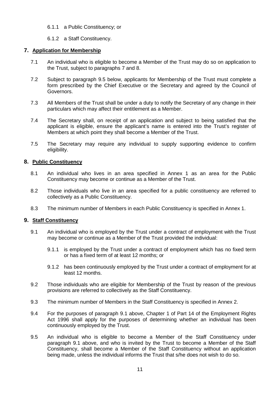- 6.1.1 a Public Constituency; or
- 6.1.2 a Staff Constituency.

## <span id="page-10-0"></span>**7. Application for Membership**

- 7.1 An individual who is eligible to become a Member of the Trust may do so on application to the Trust, subject to paragraphs [7](#page-10-0) and [8.](#page-10-1)
- 7.2 Subject to paragraph 9.5 below, applicants for Membership of the Trust must complete a form prescribed by the Chief Executive or the Secretary and agreed by the Council of Governors.
- 7.3 All Members of the Trust shall be under a duty to notify the Secretary of any change in their particulars which may affect their entitlement as a Member.
- 7.4 The Secretary shall, on receipt of an application and subject to being satisfied that the applicant is eligible, ensure the applicant's name is entered into the Trust's register of Members at which point they shall become a Member of the Trust.
- 7.5 The Secretary may require any individual to supply supporting evidence to confirm eligibility.

## <span id="page-10-1"></span>**8. Public Constituency**

- 8.1 An individual who lives in an area specified in Annex 1 as an area for the Public Constituency may become or continue as a Member of the Trust.
- 8.2 Those individuals who live in an area specified for a public constituency are referred to collectively as a Public Constituency.
- 8.3 The minimum number of Members in each Public Constituency is specified in Annex 1.

## <span id="page-10-2"></span>**9. Staff Constituency**

- 9.1 An individual who is employed by the Trust under a contract of employment with the Trust may become or continue as a Member of the Trust provided the individual:
	- 9.1.1 is employed by the Trust under a contract of employment which has no fixed term or has a fixed term of at least 12 months; or
	- 9.1.2 has been continuously employed by the Trust under a contract of employment for at least 12 months.
- 9.2 Those individuals who are eligible for Membership of the Trust by reason of the previous provisions are referred to collectively as the Staff Constituency.
- 9.3 The minimum number of Members in the Staff Constituency is specified in Annex 2.
- 9.4 For the purposes of paragraph 9.1 above, Chapter 1 of Part 14 of the Employment Rights Act 1996 shall apply for the purposes of determining whether an individual has been continuously employed by the Trust.
- 9.5 An individual who is eligible to become a Member of the Staff Constituency under paragraph 9.1 above, and who is invited by the Trust to become a Member of the Staff Constituency, shall become a Member of the Staff Constituency without an application being made, unless the individual informs the Trust that s/he does not wish to do so.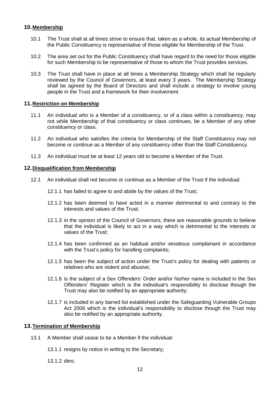## <span id="page-11-0"></span>**10.Membership**

- 10.1 The Trust shall at all times strive to ensure that, taken as a whole, its actual Membership of the Public Constituency is representative of those eligible for Membership of the Trust.
- 10.2 The area set out for the Public Constituency shall have regard to the need for those eligible for such Membership to be representative of those to whom the Trust provides services.
- 10.3 The Trust shall have in place at all times a Membership Strategy which shall be regularly reviewed by the Council of Governors, at least every 3 years. The Membership Strategy shall be agreed by the Board of Directors and shall include a strategy to involve young people in the Trust and a framework for their involvement.

## <span id="page-11-1"></span>**11.Restriction on Membership**

- 11.1 An individual who is a Member of a constituency, or of a class within a constituency, may not while Membership of that constituency or class continues, be a Member of any other constituency or class.
- 11.2 An individual who satisfies the criteria for Membership of the Staff Constituency may not become or continue as a Member of any constituency other than the Staff Constituency.
- 11.3 An individual must be at least 12 years old to become a Member of the Trust.

#### <span id="page-11-2"></span>**12.Disqualification from Membership**

- 12.1 An individual shall not become or continue as a Member of the Trust if the individual:
	- 12.1.1 has failed to agree to and abide by the values of the Trust;
	- 12.1.2 has been deemed to have acted in a manner detrimental to and contrary to the interests and values of the Trust;
	- 12.1.3 in the opinion of the Council of Governors, there are reasonable grounds to believe that the individual is likely to act in a way which is detrimental to the interests or values of the Trust;
	- 12.1.4 has been confirmed as an habitual and/or vexatious complainant in accordance with the Trust's policy for handling complaints:
	- 12.1.5 has been the subject of action under the Trust's policy for dealing with patients or relatives who are violent and abusive;
	- 12.1.6 is the subject of a Sex Offenders' Order and/or his/her name is included in the Sex Offenders' Register which is the individual's responsibility to disclose though the Trust may also be notified by an appropriate authority;
	- 12.1.7 is included in any barred list established under the Safeguarding Vulnerable Groups Act 2006 which is the individual's responsibility to disclose though the Trust may also be notified by an appropriate authority.

## <span id="page-11-3"></span>**13.Termination of Membership**

- 13.1 A Member shall cease to be a Member if the individual:
	- 13.1.1 resigns by notice in writing to the Secretary;
	- 13.1.2 dies;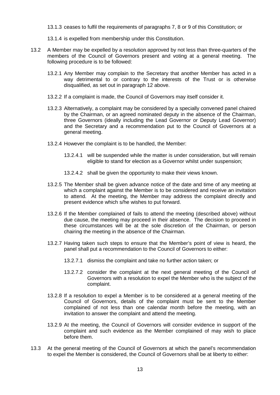13.1.3 ceases to fulfil the requirements of paragraphs [7,](#page-10-0) [8](#page-10-1) or [9](#page-10-2) of this Constitution; or

- 13.1.4 is expelled from membership under this Constitution.
- 13.2 A Member may be expelled by a resolution approved by not less than three-quarters of the members of the Council of Governors present and voting at a general meeting. The following procedure is to be followed:
	- 13.2.1 Any Member may complain to the Secretary that another Member has acted in a way detrimental to or contrary to the interests of the Trust or is otherwise disqualified, as set out in paragraph [12](#page-11-2) above.
	- 13.2.2 If a complaint is made, the Council of Governors may itself consider it.
	- 13.2.3 Alternatively, a complaint may be considered by a specially convened panel chaired by the Chairman, or an agreed nominated deputy in the absence of the Chairman, three Governors (ideally including the Lead Governor or Deputy Lead Governor) and the Secretary and a recommendation put to the Council of Governors at a general meeting.
	- 13.2.4 However the complaint is to be handled, the Member:
		- 13.2.4.1 will be suspended while the matter is under consideration, but will remain eligible to stand for election as a Governor whilst under suspension;
		- 13.2.4.2 shall be given the opportunity to make their views known.
	- 13.2.5 The Member shall be given advance notice of the date and time of any meeting at which a complaint against the Member is to be considered and receive an invitation to attend. At the meeting, the Member may address the complaint directly and present evidence which s/he wishes to put forward.
	- 13.2.6 If the Member complained of fails to attend the meeting (described above) without due cause, the meeting may proceed in their absence. The decision to proceed in these circumstances will be at the sole discretion of the Chairman, or person chairing the meeting in the absence of the Chairman.
	- 13.2.7 Having taken such steps to ensure that the Member's point of view is heard, the panel shall put a recommendation to the Council of Governors to either:
		- 13.2.7.1 dismiss the complaint and take no further action taken; or
		- 13.2.7.2 consider the complaint at the next general meeting of the Council of Governors with a resolution to expel the Member who is the subject of the complaint.
	- 13.2.8 If a resolution to expel a Member is to be considered at a general meeting of the Council of Governors, details of the complaint must be sent to the Member complained of not less than one calendar month before the meeting, with an invitation to answer the complaint and attend the meeting.
	- 13.2.9 At the meeting, the Council of Governors will consider evidence in support of the complaint and such evidence as the Member complained of may wish to place before them.
- 13.3 At the general meeting of the Council of Governors at which the panel's recommendation to expel the Member is considered, the Council of Governors shall be at liberty to either: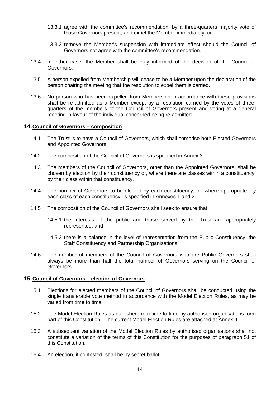- 13.3.1 agree with the committee's recommendation, by a three-quarters majority vote of those Governors present, and expel the Member immediately; or
- 13.3.2 remove the Member's suspension with immediate effect should the Council of Governors not agree with the committee's recommendation.
- 13.4 In either case, the Member shall be duly informed of the decision of the Council of Governors.
- 13.5 A person expelled from Membership will cease to be a Member upon the declaration of the person chairing the meeting that the resolution to expel them is carried.
- 13.6 No person who has been expelled from Membership in accordance with these provisions shall be re-admitted as a Member except by a resolution carried by the votes of threequarters of the members of the Council of Governors present and voting at a general meeting in favour of the individual concerned being re-admitted.

#### <span id="page-13-0"></span>**14.Council of Governors – composition**

- 14.1 The Trust is to have a Council of Governors, which shall comprise both Elected Governors and Appointed Governors.
- 14.2 The composition of the Council of Governors is specified in Annex 3.
- 14.3 The members of the Council of Governors, other than the Appointed Governors, shall be chosen by election by their constituency or, where there are classes within a constituency, by their class within that constituency.
- 14.4 The number of Governors to be elected by each constituency, or, where appropriate, by each class of each constituency, is specified in Annexes 1 and 2.
- 14.5 The composition of the Council of Governors shall seek to ensure that:
	- 14.5.1 the interests of the public and those served by the Trust are appropriately represented; and
	- 14.5.2 there is a balance in the level of representation from the Public Constituency, the Staff Constituency and Partnership Organisations.
- 14.6 The number of members of the Council of Governors who are Public Governors shall always be more than half the total number of Governors serving on the Council of Governors.

#### <span id="page-13-1"></span>**15.Council of Governors – election of Governors**

- 15.1 Elections for elected members of the Council of Governors shall be conducted using the single transferable vote method in accordance with the Model Election Rules, as may be varied from time to time.
- 15.2 The Model Election Rules as published from time to time by authorised organisations form part of this Constitution. The current Model Election Rules are attached at Annex 4.
- 15.3 A subsequent variation of the Model Election Rules by authorised organisations shall not constitute a variation of the terms of this Constitution for the purposes of paragraph [51](#page-36-0) of this Constitution.
- 15.4 An election, if contested, shall be by secret ballot.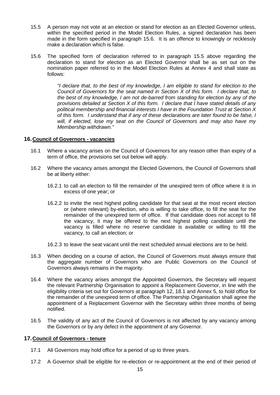- 15.5 A person may not vote at an election or stand for election as an Elected Governor unless, within the specified period in the Model Election Rules, a signed declaration has been made in the form specified in paragraph [15.6.](#page-14-3) It is an offence to knowingly or recklessly make a declaration which is false.
- <span id="page-14-3"></span>15.6 The specified form of declaration referred to in paragraph 15.5 above regarding the declaration to stand for election as an Elected Governor shall be as set out on the nomination paper referred to in the Model Election Rules at Annex 4 and shall state as follows:

*"I declare that, to the best of my knowledge, I am eligible to stand for election to the Council of Governors for the seat named in Section X of this form. I declare that, to the best of my knowledge, I am not de-barred from standing for election by any of the provisions detailed at Section X of this form. I declare that I have stated details of any political membership and financial interests I have in the Foundation Trust at Section X of this form. I understand that if any of these declarations are later found to be false, I will, if elected, lose my seat on the Council of Governors and may also have my Membership withdrawn."*

#### <span id="page-14-0"></span>**16.Council of Governors - vacancies**

- 16.1 Where a vacancy arises on the Council of Governors for any reason other than expiry of a term of office, the provisions set out below will apply.
- 16.2 Where the vacancy arises amongst the Elected Governors, the Council of Governors shall be at liberty either:
	- 16.2.1 to call an election to fill the remainder of the unexpired term of office where it is in excess of one year; or
	- 16.2.2 to invite the next highest polling candidate for that seat at the most recent election or (where relevant) by-election, who is willing to take office, to fill the seat for the remainder of the unexpired term of office. If that candidate does not accept to fill the vacancy, it may be offered to the next highest polling candidate until the vacancy is filled where no reserve candidate is available or willing to fill the vacancy, to call an election; or
	- 16.2.3 to leave the seat vacant until the next scheduled annual elections are to be held.
- 16.3 When deciding on a course of action, the Council of Governors must always ensure that the aggregate number of Governors who are Public Governors on the Council of Governors always remains in the majority.
- <span id="page-14-2"></span>16.4 Where the vacancy arises amongst the Appointed Governors, the Secretary will request the relevant Partnership Organisation to appoint a Replacement Governor, in line with the eligibility criteria set out for Governors at paragraph 12, 18.1 and Annex 5, to hold office for the remainder of the unexpired term of office. The Partnership Organisation shall agree the appointment of a Replacement Governor with the Secretary within three months of being notified.
- 16.5 The validity of any act of the Council of Governors is not affected by any vacancy among the Governors or by any defect in the appointment of any Governor.

#### <span id="page-14-1"></span>**17.Council of Governors - tenure**

- 17.1 All Governors may hold office for a period of up to three years.
- 17.2 A Governor shall be eligible for re-election or re-appointment at the end of their period of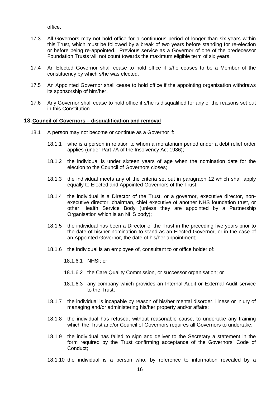office.

- 17.3 All Governors may not hold office for a continuous period of longer than six years within this Trust, which must be followed by a break of two years before standing for re-election or before being re-appointed. Previous service as a Governor of one of the predecessor Foundation Trusts will not count towards the maximum eligible term of six years.
- 17.4 An Elected Governor shall cease to hold office if s/he ceases to be a Member of the constituency by which s/he was elected.
- 17.5 An Appointed Governor shall cease to hold office if the appointing organisation withdraws its sponsorship of him/her.
- 17.6 Any Governor shall cease to hold office if s/he is disqualified for any of the reasons set out in this Constitution.

## <span id="page-15-0"></span>**18.Council of Governors – disqualification and removal**

- 18.1 A person may not become or continue as a Governor if:
	- 18.1.1 s/he is a person in relation to whom a moratorium period under a debt relief order applies (under Part 7A of the Insolvency Act 1986);
	- 18.1.2 the individual is under sixteen years of age when the nomination date for the election to the Council of Governors closes;
	- 18.1.3 the individual meets any of the criteria set out in paragraph 12 which shall apply equally to Elected and Appointed Governors of the Trust;
	- 18.1.4 the individual is a Director of the Trust, or a governor, executive director, nonexecutive director, chairman, chief executive of another NHS foundation trust, or other Health Service Body (unless they are appointed by a Partnership Organisation which is an NHS body);
	- 18.1.5 the individual has been a Director of the Trust in the preceding five years prior to the date of his/her nomination to stand as an Elected Governor, or in the case of an Appointed Governor, the date of his/her appointment;
	- 18.1.6 the individual is an employee of, consultant to or office holder of:
		- 18.1.6.1 NHSI; or
		- 18.1.6.2 the Care Quality Commission, or successor organisation; or
		- 18.1.6.3 any company which provides an Internal Audit or External Audit service to the Trust;
	- 18.1.7 the individual is incapable by reason of his/her mental disorder, illness or injury of managing and/or administering his/her property and/or affairs;
	- 18.1.8 the individual has refused, without reasonable cause, to undertake any training which the Trust and/or Council of Governors requires all Governors to undertake;
	- 18.1.9 the individual has failed to sign and deliver to the Secretary a statement in the form required by the Trust confirming acceptance of the Governors' Code of Conduct;
	- 18.1.10 the individual is a person who, by reference to information revealed by a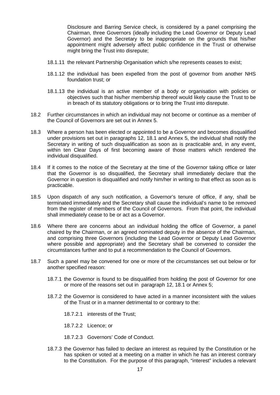Disclosure and Barring Service check, is considered by a panel comprising the Chairman, three Governors (ideally including the Lead Governor or Deputy Lead Governor) and the Secretary to be inappropriate on the grounds that his/her appointment might adversely affect public confidence in the Trust or otherwise might bring the Trust into disrepute;

- 18.1.11 the relevant Partnership Organisation which s/he represents ceases to exist;
- 18.1.12 the individual has been expelled from the post of governor from another NHS foundation trust; or
- 18.1.13 the individual is an active member of a body or organisation with policies or objectives such that his/her membership thereof would likely cause the Trust to be in breach of its statutory obligations or to bring the Trust into disrepute.
- 18.2 Further circumstances in which an individual may not become or continue as a member of the Council of Governors are set out in Annex 5.
- 18.3 Where a person has been elected or appointed to be a Governor and becomes disqualified under provisions set out in paragraphs 12, 18.1 and Annex 5, the individual shall notify the Secretary in writing of such disqualification as soon as is practicable and, in any event, within ten Clear Days of first becoming aware of those matters which rendered the individual disqualified.
- 18.4 If it comes to the notice of the Secretary at the time of the Governor taking office or later that the Governor is so disqualified, the Secretary shall immediately declare that the Governor in question is disqualified and notify him/her in writing to that effect as soon as is practicable.
- 18.5 Upon dispatch of any such notification, a Governor's tenure of office, if any, shall be terminated immediately and the Secretary shall cause the individual's name to be removed from the register of members of the Council of Governors. From that point, the individual shall immediately cease to be or act as a Governor.
- 18.6 Where there are concerns about an individual holding the office of Governor, a panel chaired by the Chairman, or an agreed nominated deputy in the absence of the Chairman, and comprising three Governors (including the Lead Governor or Deputy Lead Governor where possible and appropriate) and the Secretary shall be convened to consider the circumstances further and to put a recommendation to the Council of Governors.
- 18.7 Such a panel may be convened for one or more of the circumstances set out below or for another specified reason:
	- 18.7.1 the Governor is found to be disqualified from holding the post of Governor for one or more of the reasons set out in paragraph 12, 18.1 or Annex 5;
	- 18.7.2 the Governor is considered to have acted in a manner inconsistent with the values of the Trust or in a manner detrimental to or contrary to the:
		- 18.7.2.1 interests of the Trust;
		- 18.7.2.2 Licence; or
		- 18.7.2.3 Governors' Code of Conduct.
	- 18.7.3 the Governor has failed to declare an interest as required by the Constitution or he has spoken or voted at a meeting on a matter in which he has an interest contrary to the Constitution. For the purpose of this paragraph, "interest" includes a relevant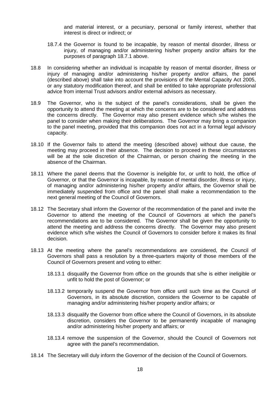and material interest, or a pecuniary, personal or family interest, whether that interest is direct or indirect; or

- 18.7.4 the Governor is found to be incapable, by reason of mental disorder, illness or injury, of managing and/or administering his/her property and/or affairs for the purposes of paragraph 18.7.1 above.
- 18.8 In considering whether an individual is incapable by reason of mental disorder, illness or injury of managing and/or administering his/her property and/or affairs, the panel (described above) shall take into account the provisions of the Mental Capacity Act 2005, or any statutory modification thereof, and shall be entitled to take appropriate professional advice from internal Trust advisors and/or external advisors as necessary.
- 18.9 The Governor, who is the subject of the panel's considerations, shall be given the opportunity to attend the meeting at which the concerns are to be considered and address the concerns directly. The Governor may also present evidence which s/he wishes the panel to consider when making their deliberations. The Governor may bring a companion to the panel meeting, provided that this companion does not act in a formal legal advisory capacity.
- 18.10 If the Governor fails to attend the meeting (described above) without due cause, the meeting may proceed in their absence. The decision to proceed in these circumstances will be at the sole discretion of the Chairman, or person chairing the meeting in the absence of the Chairman.
- 18.11 Where the panel deems that the Governor is ineligible for, or unfit to hold, the office of Governor, or that the Governor is incapable, by reason of mental disorder, illness or injury, of managing and/or administering his/her property and/or affairs, the Governor shall be immediately suspended from office and the panel shall make a recommendation to the next general meeting of the Council of Governors.
- 18.12 The Secretary shall inform the Governor of the recommendation of the panel and invite the Governor to attend the meeting of the Council of Governors at which the panel's recommendations are to be considered. The Governor shall be given the opportunity to attend the meeting and address the concerns directly. The Governor may also present evidence which s/he wishes the Council of Governors to consider before it makes its final decision.
- 18.13 At the meeting where the panel's recommendations are considered, the Council of Governors shall pass a resolution by a three-quarters majority of those members of the Council of Governors present and voting to either:
	- 18.13.1 disqualify the Governor from office on the grounds that s/he is either ineligible or unfit to hold the post of Governor; or
	- 18.13.2 temporarily suspend the Governor from office until such time as the Council of Governors, in its absolute discretion, considers the Governor to be capable of managing and/or administering his/her property and/or affairs; or
	- 18.13.3 disqualify the Governor from office where the Council of Governors, in its absolute discretion, considers the Governor to be permanently incapable of managing and/or administering his/her property and affairs; or
	- 18.13.4 remove the suspension of the Governor, should the Council of Governors not agree with the panel's recommendation.
- 18.14 The Secretary will duly inform the Governor of the decision of the Council of Governors.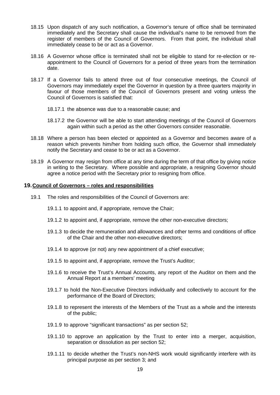- 18.15 Upon dispatch of any such notification, a Governor's tenure of office shall be terminated immediately and the Secretary shall cause the individual's name to be removed from the register of members of the Council of Governors. From that point, the individual shall immediately cease to be or act as a Governor.
- 18.16 A Governor whose office is terminated shall not be eligible to stand for re-election or reappointment to the Council of Governors for a period of three years from the termination date.
- 18.17 If a Governor fails to attend three out of four consecutive meetings, the Council of Governors may immediately expel the Governor in question by a three quarters majority in favour of those members of the Council of Governors present and voting unless the Council of Governors is satisfied that:
	- 18.17.1 the absence was due to a reasonable cause; and
	- 18.17.2 the Governor will be able to start attending meetings of the Council of Governors again within such a period as the other Governors consider reasonable.
- 18.18 Where a person has been elected or appointed as a Governor and becomes aware of a reason which prevents him/her from holding such office, the Governor shall immediately notify the Secretary and cease to be or act as a Governor.
- 18.19 A Governor may resign from office at any time during the term of that office by giving notice in writing to the Secretary. Where possible and appropriate, a resigning Governor should agree a notice period with the Secretary prior to resigning from office.

#### <span id="page-18-0"></span>**19.Council of Governors – roles and responsibilities**

- 19.1 The roles and responsibilities of the Council of Governors are:
	- 19.1.1 to appoint and, if appropriate, remove the Chair;
	- 19.1.2 to appoint and, if appropriate, remove the other non-executive directors;
	- 19.1.3 to decide the remuneration and allowances and other terms and conditions of office of the Chair and the other non-executive directors;
	- 19.1.4 to approve (or not) any new appointment of a chief executive;
	- 19.1.5 to appoint and, if appropriate, remove the Trust's Auditor;
	- 19.1.6 to receive the Trust's Annual Accounts, any report of the Auditor on them and the Annual Report at a members' meeting
	- 19.1.7 to hold the Non-Executive Directors individually and collectively to account for the performance of the Board of Directors;
	- 19.1.8 to represent the interests of the Members of the Trust as a whole and the interests of the public;
	- 19.1.9 to approve "significant transactions" as per section 52;
	- 19.1.10 to approve an application by the Trust to enter into a merger, acquisition, separation or dissolution as per section 52;
	- 19.1.11 to decide whether the Trust's non-NHS work would significantly interfere with its principal purpose as per section 3; and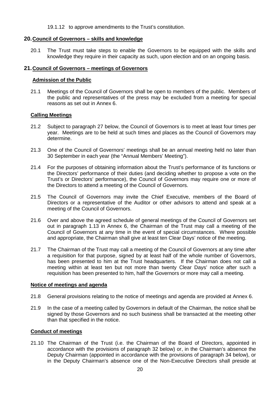19.1.12 to approve amendments to the Trust's constitution.

## <span id="page-19-0"></span>**20.Council of Governors – skills and knowledge**

20.1 The Trust must take steps to enable the Governors to be equipped with the skills and knowledge they require in their capacity as such, upon election and on an ongoing basis.

## <span id="page-19-1"></span>**21.Council of Governors – meetings of Governors**

#### **Admission of the Public**

21.1 Meetings of the Council of Governors shall be open to members of the public. Members of the public and representatives of the press may be excluded from a meeting for special reasons as set out in Annex 6.

#### **Calling Meetings**

- 21.2 Subject to paragraph 27 below, the Council of Governors is to meet at least four times per year. Meetings are to be held at such times and places as the Council of Governors may determine.
- 21.3 One of the Council of Governors' meetings shall be an annual meeting held no later than 30 September in each year (the "Annual Members' Meeting").
- 21.4 For the purposes of obtaining information about the Trust's performance of its functions or the Directors' performance of their duties (and deciding whether to propose a vote on the Trust's or Directors' performance), the Council of Governors may require one or more of the Directors to attend a meeting of the Council of Governors.
- 21.5 The Council of Governors may invite the Chief Executive, members of the Board of Directors or a representative of the Auditor or other advisors to attend and speak at a meeting of the Council of Governors.
- 21.6 Over and above the agreed schedule of general meetings of the Council of Governors set out in paragraph 1.13 in Annex 6, the Chairman of the Trust may call a meeting of the Council of Governors at any time in the event of special circumstances. Where possible and appropriate, the Chairman shall give at least ten Clear Days' notice of the meeting.
- 21.7 The Chairman of the Trust may call a meeting of the Council of Governors at any time after a requisition for that purpose, signed by at least half of the whole number of Governors, has been presented to him at the Trust headquarters. If the Chairman does not call a meeting within at least ten but not more than twenty Clear Days' notice after such a requisition has been presented to him, half the Governors or more may call a meeting.

#### **Notice of meetings and agenda**

- 21.8 General provisions relating to the notice of meetings and agenda are provided at Annex 6.
- 21.9 In the case of a meeting called by Governors in default of the Chairman, the notice shall be signed by those Governors and no such business shall be transacted at the meeting other than that specified in the notice.

#### **Conduct of meetings**

21.10 The Chairman of the Trust (i.e. the Chairman of the Board of Directors, appointed in accordance with the provisions of paragraph 32 below) or, in the Chairman's absence the Deputy Chairman (appointed in accordance with the provisions of paragraph 34 below), or in the Deputy Chairman's absence one of the Non-Executive Directors shall preside at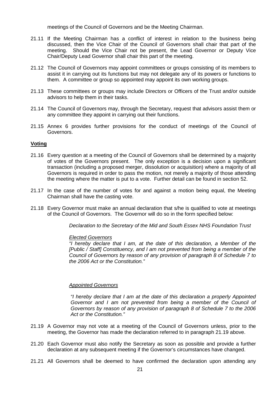meetings of the Council of Governors and be the Meeting Chairman.

- 21.11 If the Meeting Chairman has a conflict of interest in relation to the business being discussed, then the Vice Chair of the Council of Governors shall chair that part of the meeting. Should the Vice Chair not be present, the Lead Governor or Deputy Vice Chair/Deputy Lead Governor shall chair this part of the meeting.
- 21.12 The Council of Governors may appoint committees or groups consisting of its members to assist it in carrying out its functions but may not delegate any of its powers or functions to them. A committee or group so appointed may appoint its own working groups.
- 21.13 These committees or groups may include Directors or Officers of the Trust and/or outside advisors to help them in their tasks.
- 21.14 The Council of Governors may, through the Secretary, request that advisors assist them or any committee they appoint in carrying out their functions.
- 21.15 Annex 6 provides further provisions for the conduct of meetings of the Council of Governors.

#### **Voting**

- 21.16 Every question at a meeting of the Council of Governors shall be determined by a majority of votes of the Governors present. The only exception is a decision upon a significant transaction (including a proposed merger, dissolution or acquisition) where a majority of all Governors is required in order to pass the motion, not merely a majority of those attending the meeting where the matter is put to a vote. Further detail can be found in section 52.
- 21.17 In the case of the number of votes for and against a motion being equal, the Meeting Chairman shall have the casting vote.
- 21.18 Every Governor must make an annual declaration that s/he is qualified to vote at meetings of the Council of Governors. The Governor will do so in the form specified below:

*Declaration to the Secretary of the Mid and South Essex NHS Foundation Trust* 

#### *Elected Governors*

*"I hereby declare that I am, at the date of this declaration, a Member of the [Public / Staff] Constituency, and I am not prevented from being a member of the Council of Governors by reason of any provision of paragraph 8 of Schedule 7 to the 2006 Act or the Constitution."*

#### *Appointed Governors*

*"I hereby declare that I am at the date of this declaration a properly Appointed Governor and I am not prevented from being a member of the Council of Governors by reason of any provision of paragraph 8 of Schedule 7 to the 2006 Act or the Constitution."*

- 21.19 A Governor may not vote at a meeting of the Council of Governors unless, prior to the meeting, the Governor has made the declaration referred to in paragraph 21.19 above.
- 21.20 Each Governor must also notify the Secretary as soon as possible and provide a further declaration at any subsequent meeting if the Governor's circumstances have changed.
- 21.21 All Governors shall be deemed to have confirmed the declaration upon attending any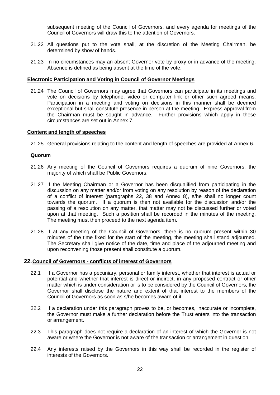subsequent meeting of the Council of Governors, and every agenda for meetings of the Council of Governors will draw this to the attention of Governors.

- 21.22 All questions put to the vote shall, at the discretion of the Meeting Chairman, be determined by show of hands.
- 21.23 In no circumstances may an absent Governor vote by proxy or in advance of the meeting. Absence is defined as being absent at the time of the vote.

#### **Electronic Participation and Voting in Council of Governor Meetings**

21.24 The Council of Governors may agree that Governors can participate in its meetings and vote on decisions by telephone, video or computer link or other such agreed means. Participation in a meeting and voting on decisions in this manner shall be deemed exceptional but shall constitute presence in person at the meeting. Express approval from the Chairman must be sought in advance. Further provisions which apply in these circumstances are set out in Annex 7.

## **Content and length of speeches**

21.25 General provisions relating to the content and length of speeches are provided at Annex 6.

#### **Quorum**

- 21.26 Any meeting of the Council of Governors requires a quorum of nine Governors, the majority of which shall be Public Governors.
- 21.27 If the Meeting Chairman or a Governor has been disqualified from participating in the discussion on any matter and/or from voting on any resolution by reason of the declaration of a conflict of interest (paragraphs 22, 38 and Annex 8), s/he shall no longer count towards the quorum. If a quorum is then not available for the discussion and/or the passing of a resolution on any matter, that matter may not be discussed further or voted upon at that meeting. Such a position shall be recorded in the minutes of the meeting. The meeting must then proceed to the next agenda item.
- 21.28 If at any meeting of the Council of Governors, there is no quorum present within 30 minutes of the time fixed for the start of the meeting, the meeting shall stand adjourned. The Secretary shall give notice of the date, time and place of the adjourned meeting and upon reconvening those present shall constitute a quorum.

#### <span id="page-21-0"></span>**22.Council of Governors - conflicts of interest of Governors**

- 22.1 If a Governor has a pecuniary, personal or family interest, whether that interest is actual or potential and whether that interest is direct or indirect, in any proposed contract or other matter which is under consideration or is to be considered by the Council of Governors, the Governor shall disclose the nature and extent of that interest to the members of the Council of Governors as soon as s/he becomes aware of it.
- 22.2 If a declaration under this paragraph proves to be, or becomes, inaccurate or incomplete, the Governor must make a further declaration before the Trust enters into the transaction or arrangement.
- 22.3 This paragraph does not require a declaration of an interest of which the Governor is not aware or where the Governor is not aware of the transaction or arrangement in question.
- 22.4 Any interests raised by the Governors in this way shall be recorded in the register of interests of the Governors.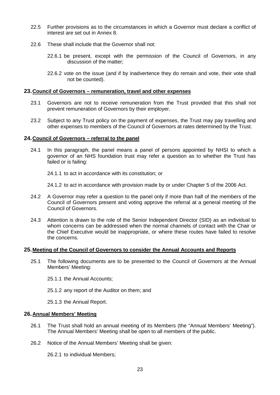- 22.5 Further provisions as to the circumstances in which a Governor must declare a conflict of interest are set out in Annex 8.
- 22.6 These shall include that the Governor shall not:
	- 22.6.1 be present, except with the permission of the Council of Governors, in any discussion of the matter;
	- 22.6.2 vote on the issue (and if by inadvertence they do remain and vote, their vote shall not be counted).

#### <span id="page-22-0"></span>**23.Council of Governors – remuneration, travel and other expenses**

- 23.1 Governors are not to receive remuneration from the Trust provided that this shall not prevent remuneration of Governors by their employer.
- 23.2 Subject to any Trust policy on the payment of expenses, the Trust may pay travelling and other expenses to members of the Council of Governors at rates determined by the Trust.

#### <span id="page-22-1"></span>**24.Council of Governors – referral to the panel**

24.1 In this paragraph, the panel means a panel of persons appointed by NHSI to which a governor of an NHS foundation trust may refer a question as to whether the Trust has failed or is failing:

24.1.1 to act in accordance with its constitution; or

24.1.2 to act in accordance with provision made by or under Chapter 5 of the 2006 Act.

- 24.2 A Governor may refer a question to the panel only if more than half of the members of the Council of Governors present and voting approve the referral at a general meeting of the Council of Governors.
- 24.3 Attention is drawn to the role of the Senior Independent Director (SID) as an individual to whom concerns can be addressed when the normal channels of contact with the Chair or the Chief Executive would be inappropriate, or where these routes have failed to resolve the concerns.

#### <span id="page-22-2"></span>**25.Meeting of the Council of Governors to consider the Annual Accounts and Reports**

- 25.1 The following documents are to be presented to the Council of Governors at the Annual Members' Meeting:
	- 25.1.1 the Annual Accounts;
	- 25.1.2 any report of the Auditor on them; and
	- 25.1.3 the Annual Report.

#### <span id="page-22-3"></span>**26.Annual Members' Meeting**

- 26.1 The Trust shall hold an annual meeting of its Members (the "Annual Members' Meeting"). The Annual Members' Meeting shall be open to all members of the public.
- 26.2 Notice of the Annual Members' Meeting shall be given:

26.2.1 to individual Members;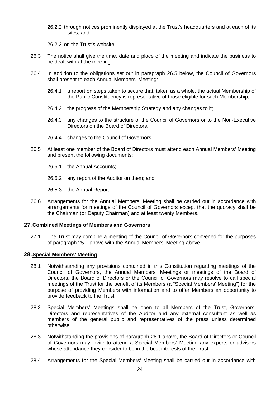26.2.2 through notices prominently displayed at the Trust's headquarters and at each of its sites; and

26.2.3 on the Trust's website.

- 26.3 The notice shall give the time, date and place of the meeting and indicate the business to be dealt with at the meeting.
- 26.4 In addition to the obligations set out in paragraph 26.5 below, the Council of Governors shall present to each Annual Members' Meeting:
	- 26.4.1 a report on steps taken to secure that, taken as a whole, the actual Membership of the Public Constituency is representative of those eligible for such Membership;
	- 26.4.2 the progress of the Membership Strategy and any changes to it;
	- 26.4.3 any changes to the structure of the Council of Governors or to the Non-Executive Directors on the Board of Directors.
	- 26.4.4 changes to the Council of Governors.
- 26.5 At least one member of the Board of Directors must attend each Annual Members' Meeting and present the following documents:
	- 26.5.1 the Annual Accounts;
	- 26.5.2 any report of the Auditor on them; and
	- 26.5.3 the Annual Report.
- 26.6 Arrangements for the Annual Members' Meeting shall be carried out in accordance with arrangements for meetings of the Council of Governors except that the quoracy shall be the Chairman (or Deputy Chairman) and at least twenty Members.

#### <span id="page-23-0"></span>**27.Combined Meetings of Members and Governors**

27.1 The Trust may combine a meeting of the Council of Governors convened for the purposes of paragraph 25.1 above with the Annual Members' Meeting above.

#### <span id="page-23-1"></span>**28.Special Members' Meeting**

- 28.1 Notwithstanding any provisions contained in this Constitution regarding meetings of the Council of Governors, the Annual Members' Meetings or meetings of the Board of Directors, the Board of Directors or the Council of Governors may resolve to call special meetings of the Trust for the benefit of its Members (a "Special Members' Meeting") for the purpose of providing Members with information and to offer Members an opportunity to provide feedback to the Trust.
- 28.2 Special Members' Meetings shall be open to all Members of the Trust, Governors, Directors and representatives of the Auditor and any external consultant as well as members of the general public and representatives of the press unless determined otherwise.
- 28.3 Notwithstanding the provisions of paragraph 28.1 above, the Board of Directors or Council of Governors may invite to attend a Special Members' Meeting any experts or advisors whose attendance they consider to be in the best interests of the Trust.
- 28.4 Arrangements for the Special Members' Meeting shall be carried out in accordance with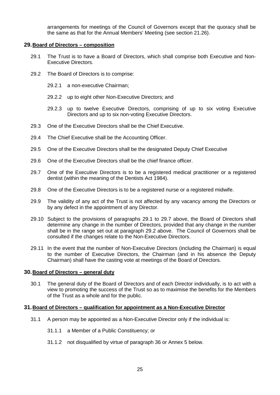arrangements for meetings of the Council of Governors except that the quoracy shall be the same as that for the Annual Members' Meeting (see section 21.26).

#### <span id="page-24-0"></span>**29.Board of Directors – composition**

- 29.1 The Trust is to have a Board of Directors, which shall comprise both Executive and Non-Executive Directors.
- 29.2 The Board of Directors is to comprise:
	- 29.2.1 a non-executive Chairman;
	- 29.2.2 up to eight other Non-Executive Directors; and
	- 29.2.3 up to twelve Executive Directors, comprising of up to six voting Executive Directors and up to six non-voting Executive Directors.
- 29.3 One of the Executive Directors shall be the Chief Executive.
- 29.4 The Chief Executive shall be the Accounting Officer.
- 29.5 One of the Executive Directors shall be the designated Deputy Chief Executive
- 29.6 One of the Executive Directors shall be the chief finance officer.
- 29.7 One of the Executive Directors is to be a registered medical practitioner or a registered dentist (within the meaning of the Dentists Act 1984).
- 29.8 One of the Executive Directors is to be a registered nurse or a registered midwife.
- 29.9 The validity of any act of the Trust is not affected by any vacancy among the Directors or by any defect in the appointment of any Director.
- 29.10 Subject to the provisions of paragraphs 29.1 to 29.7 above, the Board of Directors shall determine any change in the number of Directors, provided that any change in the number shall be in the range set out at paragraph 29.2 above. The Council of Governors shall be consulted if the changes relate to the Non-Executive Directors.
- 29.11 In the event that the number of Non-Executive Directors (including the Chairman) is equal to the number of Executive Directors, the Chairman (and in his absence the Deputy Chairman) shall have the casting vote at meetings of the Board of Directors.

#### <span id="page-24-1"></span>**30.Board of Directors – general duty**

30.1 The general duty of the Board of Directors and of each Director individually, is to act with a view to promoting the success of the Trust so as to maximise the benefits for the Members of the Trust as a whole and for the public.

## <span id="page-24-2"></span>**31.Board of Directors – qualification for appointment as a Non-Executive Director**

- 31.1 A person may be appointed as a Non-Executive Director only if the individual is:
	- 31.1.1 a Member of a Public Constituency; or
	- 31.1.2 not disqualified by virtue of paragraph 36 or Annex 5 below.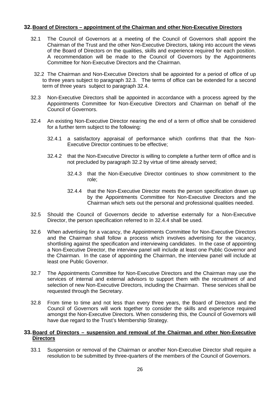## <span id="page-25-0"></span>**32.Board of Directors – appointment of the Chairman and other Non-Executive Directors**

- 32.1 The Council of Governors at a meeting of the Council of Governors shall appoint the Chairman of the Trust and the other Non-Executive Directors, taking into account the views of the Board of Directors on the qualities, skills and experience required for each position. A recommendation will be made to the Council of Governors by the Appointments Committee for Non-Executive Directors and the Chairman.
- 32.2 The Chairman and Non-Executive Directors shall be appointed for a period of office of up to three years subject to paragraph 32.3. The terms of office can be extended for a second term of three years subject to paragraph 32.4.
- 32.3 Non-Executive Directors shall be appointed in accordance with a process agreed by the Appointments Committee for Non-Executive Directors and Chairman on behalf of the Council of Governors.
- 32.4 An existing Non-Executive Director nearing the end of a term of office shall be considered for a further term subject to the following:
	- 32.4.1 a satisfactory appraisal of performance which confirms that that the Non-Executive Director continues to be effective;
	- 32.4.2 that the Non-Executive Director is willing to complete a further term of office and is not precluded by paragraph 32.2 by virtue of time already served;
		- 32.4.3 that the Non-Executive Director continues to show commitment to the role;
		- 32.4.4 that the Non-Executive Director meets the person specification drawn up by the Appointments Committee for Non-Executive Directors and the Chairman which sets out the personal and professional qualities needed.
- 32.5 Should the Council of Governors decide to advertise externally for a Non-Executive Director, the person specification referred to in 32.4.4 shall be used.
- 32.6 When advertising for a vacancy, the Appointments Committee for Non-Executive Directors and the Chairman shall follow a process which involves advertising for the vacancy, shortlisting against the specification and interviewing candidates. In the case of appointing a Non-Executive Director, the interview panel will include at least one Public Governor and the Chairman. In the case of appointing the Chairman, the interview panel will include at least one Public Governor.
- 32.7 The Appointments Committee for Non-Executive Directors and the Chairman may use the services of internal and external advisors to support them with the recruitment of and selection of new Non-Executive Directors, including the Chairman. These services shall be requested through the Secretary.
- 32.8 From time to time and not less than every three years, the Board of Directors and the Council of Governors will work together to consider the skills and experience required amongst the Non-Executive Directors. When considering this, the Council of Governors will have due regard to the Trust's Membership Strategy.

## <span id="page-25-1"></span>**33.Board of Directors – suspension and removal of the Chairman and other Non-Executive Directors**

33.1 Suspension or removal of the Chairman or another Non-Executive Director shall require a resolution to be submitted by three-quarters of the members of the Council of Governors.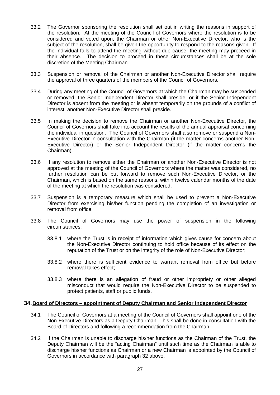- 33.2 The Governor sponsoring the resolution shall set out in writing the reasons in support of the resolution. At the meeting of the Council of Governors where the resolution is to be considered and voted upon, the Chairman or other Non-Executive Director, who is the subject of the resolution, shall be given the opportunity to respond to the reasons given. If the individual fails to attend the meeting without due cause, the meeting may proceed in their absence. The decision to proceed in these circumstances shall be at the sole discretion of the Meeting Chairman.
- 33.3 Suspension or removal of the Chairman or another Non-Executive Director shall require the approval of three quarters of the members of the Council of Governors.
- 33.4 During any meeting of the Council of Governors at which the Chairman may be suspended or removed, the Senior Independent Director shall preside, or if the Senior Independent Director is absent from the meeting or is absent temporarily on the grounds of a conflict of interest, another Non-Executive Director shall preside.
- 33.5 In making the decision to remove the Chairman or another Non-Executive Director, the Council of Governors shall take into account the results of the annual appraisal concerning the individual in question. The Council of Governors shall also remove or suspend a Non-Executive Director in consultation with the Chairman (if the matter concerns another Non-Executive Director) or the Senior Independent Director (if the matter concerns the Chairman).
- 33.6 If any resolution to remove either the Chairman or another Non-Executive Director is not approved at the meeting of the Council of Governors where the matter was considered, no further resolution can be put forward to remove such Non-Executive Director, or the Chairman, which is based on the same reasons, within twelve calendar months of the date of the meeting at which the resolution was considered.
- 33.7 Suspension is a temporary measure which shall be used to prevent a Non-Executive Director from exercising his/her function pending the completion of an investigation or removal from office.
- 33.8 The Council of Governors may use the power of suspension in the following circumstances:
	- 33.8.1 where the Trust is in receipt of information which gives cause for concern about the Non-Executive Director continuing to hold office because of its effect on the reputation of the Trust or on the integrity of the role of Non-Executive Director;
	- 33.8.2 where there is sufficient evidence to warrant removal from office but before removal takes effect;
	- 33.8.3 where there is an allegation of fraud or other impropriety or other alleged misconduct that would require the Non-Executive Director to be suspended to protect patients, staff or public funds.

#### <span id="page-26-0"></span>**34.Board of Directors – appointment of Deputy Chairman and Senior Independent Director**

- 34.1 The Council of Governors at a meeting of the Council of Governors shall appoint one of the Non-Executive Directors as a Deputy Chairman. This shall be done in consultation with the Board of Directors and following a recommendation from the Chairman.
- 34.2 If the Chairman is unable to discharge his/her functions as the Chairman of the Trust, the Deputy Chairman will be the "acting Chairman" until such time as the Chairman is able to discharge his/her functions as Chairman or a new Chairman is appointed by the Council of Governors in accordance with paragraph 32 above.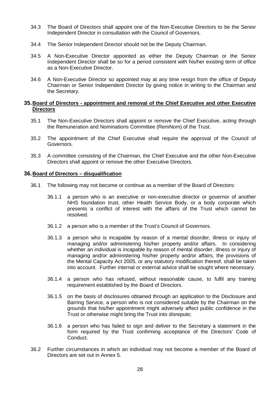- 34.3 The Board of Directors shall appoint one of the Non-Executive Directors to be the Senior Independent Director in consultation with the Council of Governors.
- 34.4 The Senior Independent Director should not be the Deputy Chairman.
- 34.5 A Non-Executive Director appointed as either the Deputy Chairman or the Senior Independent Director shall be so for a period consistent with his/her existing term of office as a Non-Executive Director.
- 34.6 A Non-Executive Director so appointed may at any time resign from the office of Deputy Chairman or Senior Independent Director by giving notice in writing to the Chairman and the Secretary.

#### <span id="page-27-0"></span>**35.Board of Directors - appointment and removal of the Chief Executive and other Executive Directors**

- 35.1 The Non-Executive Directors shall appoint or remove the Chief Executive, acting through the Remuneration and Nominations Committee (RemNom) of the Trust.
- 35.2 The appointment of the Chief Executive shall require the approval of the Council of Governors.
- 35.3 A committee consisting of the Chairman, the Chief Executive and the other Non-Executive Directors shall appoint or remove the other Executive Directors.

#### <span id="page-27-1"></span>**36.Board of Directors – disqualification**

- 36.1 The following may not become or continue as a member of the Board of Directors:
	- 36.1.1 a person who is an executive or non-executive director or governor of another NHS foundation trust, other Health Service Body, or a body corporate which presents a conflict of interest with the affairs of the Trust which cannot be resolved.
	- 36.1.2 a person who is a member of the Trust's Council of Governors.
	- 36.1.3 a person who is incapable by reason of a mental disorder, illness or injury of managing and/or administering his/her property and/or affairs. In considering whether an individual is incapable by reason of mental disorder, illness or injury of managing and/or administering his/her property and/or affairs, the provisions of the Mental Capacity Act 2005, or any statutory modification thereof, shall be taken into account. Further internal or external advice shall be sought where necessary.
	- 36.1.4 a person who has refused, without reasonable cause, to fulfil any training requirement established by the Board of Directors.
	- 36.1.5 on the basis of disclosures obtained through an application to the Disclosure and Barring Service, a person who is not considered suitable by the Chairman on the grounds that his/her appointment might adversely affect public confidence in the Trust or otherwise might bring the Trust into disrepute;
	- 36.1.6 a person who has failed to sign and deliver to the Secretary a statement in the form required by the Trust confirming acceptance of the Directors' Code of Conduct.
- 36.2 Further circumstances in which an individual may not become a member of the Board of Directors are set out in Annex 5.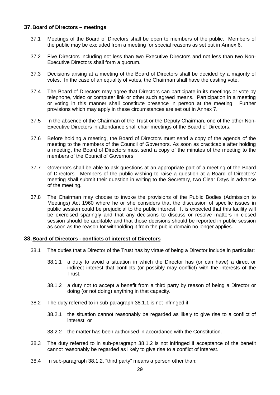## <span id="page-28-0"></span>**37.Board of Directors – meetings**

- 37.1 Meetings of the Board of Directors shall be open to members of the public. Members of the public may be excluded from a meeting for special reasons as set out in Annex 6.
- 37.2 Five Directors including not less than two Executive Directors and not less than two Non-Executive Directors shall form a quorum.
- 37.3 Decisions arising at a meeting of the Board of Directors shall be decided by a majority of votes. In the case of an equality of votes, the Chairman shall have the casting vote.
- 37.4 The Board of Directors may agree that Directors can participate in its meetings or vote by telephone, video or computer link or other such agreed means. Participation in a meeting or voting in this manner shall constitute presence in person at the meeting. Further provisions which may apply in these circumstances are set out in Annex 7.
- 37.5 In the absence of the Chairman of the Trust or the Deputy Chairman, one of the other Non-Executive Directors in attendance shall chair meetings of the Board of Directors.
- 37.6 Before holding a meeting, the Board of Directors must send a copy of the agenda of the meeting to the members of the Council of Governors. As soon as practicable after holding a meeting, the Board of Directors must send a copy of the minutes of the meeting to the members of the Council of Governors.
- 37.7 Governors shall be able to ask questions at an appropriate part of a meeting of the Board of Directors. Members of the public wishing to raise a question at a Board of Directors' meeting shall submit their question in writing to the Secretary, two Clear Days in advance of the meeting.
- 37.8 The Chairman may choose to invoke the provisions of the Public Bodies (Admission to Meetings) Act 1960 where he or she considers that the discussion of specific issues in public session could be prejudicial to the public interest. It is expected that this facility will be exercised sparingly and that any decisions to discuss or resolve matters in closed session should be auditable and that those decisions should be reported in public session as soon as the reason for withholding it from the public domain no longer applies.

## <span id="page-28-1"></span>**38.Board of Directors - conflicts of interest of Directors**

- 38.1 The duties that a Director of the Trust has by virtue of being a Director include in particular:
	- 38.1.1 a duty to avoid a situation in which the Director has (or can have) a direct or indirect interest that conflicts (or possibly may conflict) with the interests of the Trust.
	- 38.1.2 a duty not to accept a benefit from a third party by reason of being a Director or doing (or not doing) anything in that capacity.
- 38.2 The duty referred to in sub-paragraph 38.1.1 is not infringed if:
	- 38.2.1 the situation cannot reasonably be regarded as likely to give rise to a conflict of interest; or
	- 38.2.2 the matter has been authorised in accordance with the Constitution.
- 38.3 The duty referred to in sub-paragraph 38.1.2 is not infringed if acceptance of the benefit cannot reasonably be regarded as likely to give rise to a conflict of interest.
- 38.4 In sub-paragraph 38.1.2, "third party" means a person other than: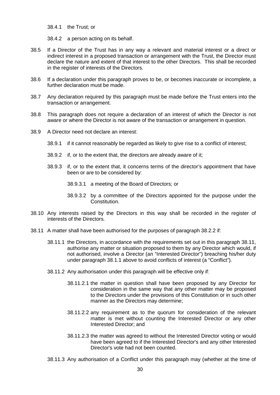38.4.1 the Trust; or

38.4.2 a person acting on its behalf.

- 38.5 If a Director of the Trust has in any way a relevant and material interest or a direct or indirect interest in a proposed transaction or arrangement with the Trust, the Director must declare the nature and extent of that interest to the other Directors. This shall be recorded in the register of interests of the Directors.
- 38.6 If a declaration under this paragraph proves to be, or becomes inaccurate or incomplete, a further declaration must be made.
- 38.7 Any declaration required by this paragraph must be made before the Trust enters into the transaction or arrangement.
- 38.8 This paragraph does not require a declaration of an interest of which the Director is not aware or where the Director is not aware of the transaction or arrangement in question.
- 38.9 A Director need not declare an interest:
	- 38.9.1 if it cannot reasonably be regarded as likely to give rise to a conflict of interest;
	- 38.9.2 if, or to the extent that, the directors are already aware of it;
	- 38.9.3 if, or to the extent that, it concerns terms of the director's appointment that have been or are to be considered by:
		- 38.9.3.1 a meeting of the Board of Directors; or
		- 38.9.3.2 by a committee of the Directors appointed for the purpose under the Constitution.
- 38.10 Any interests raised by the Directors in this way shall be recorded in the register of interests of the Directors.
- <span id="page-29-0"></span>38.11 A matter shall have been authorised for the purposes of paragraph 38.2.2 if:
	- 38.11.1 the Directors, in accordance with the requirements set out in this paragraph 38.11, authorise any matter or situation proposed to them by any Director which would, if not authorised, involve a Director (an "Interested Director") breaching his/her duty under paragraph 38.1.1 above to avoid conflicts of interest (a "Conflict").
	- 38.11.2 Any authorisation under this paragraph will be effective only if:
		- 38.11.2.1 the matter in question shall have been proposed by any Director for consideration in the same way that any other matter may be proposed to the Directors under the provisions of this Constitution or in such other manner as the Directors may determine;
		- 38.11.2.2 any requirement as to the quorum for consideration of the relevant matter is met without counting the Interested Director or any other Interested Director; and
		- 38.11.2.3 the matter was agreed to without the Interested Director voting or would have been agreed to if the Interested Director's and any other Interested Director's vote had not been counted.
	- 38.11.3 Any authorisation of a Conflict under this paragraph may (whether at the time of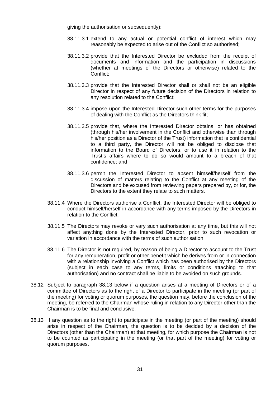giving the authorisation or subsequently):

- 38.11.3.1 extend to any actual or potential conflict of interest which may reasonably be expected to arise out of the Conflict so authorised;
- 38.11.3.2 provide that the Interested Director be excluded from the receipt of documents and information and the participation in discussions (whether at meetings of the Directors or otherwise) related to the Conflict;
- 38.11.3.3 provide that the Interested Director shall or shall not be an eligible Director in respect of any future decision of the Directors in relation to any resolution related to the Conflict;
- 38.11.3.4 impose upon the Interested Director such other terms for the purposes of dealing with the Conflict as the Directors think fit;
- 38.11.3.5 provide that, where the Interested Director obtains, or has obtained (through his/her involvement in the Conflict and otherwise than through his/her position as a Director of the Trust) information that is confidential to a third party, the Director will not be obliged to disclose that information to the Board of Directors, or to use it in relation to the Trust's affairs where to do so would amount to a breach of that confidence; and
- 38.11.3.6 permit the Interested Director to absent himself/herself from the discussion of matters relating to the Conflict at any meeting of the Directors and be excused from reviewing papers prepared by, or for, the Directors to the extent they relate to such matters.
- 38.11.4 Where the Directors authorise a Conflict, the Interested Director will be obliged to conduct himself/herself in accordance with any terms imposed by the Directors in relation to the Conflict.
- 38.11.5 The Directors may revoke or vary such authorisation at any time, but this will not affect anything done by the Interested Director, prior to such revocation or variation in accordance with the terms of such authorisation.
- 38.11.6 The Director is not required, by reason of being a Director to account to the Trust for any remuneration, profit or other benefit which he derives from or in connection with a relationship involving a Conflict which has been authorised by the Directors (subject in each case to any terms, limits or conditions attaching to that authorisation) and no contract shall be liable to be avoided on such grounds.
- 38.12 Subject to paragraph 38.13 below if a question arises at a meeting of Directors or of a committee of Directors as to the right of a Director to participate in the meeting (or part of the meeting) for voting or quorum purposes, the question may, before the conclusion of the meeting, be referred to the Chairman whose ruling in relation to any Director other than the Chairman is to be final and conclusive.
- 38.13 If any question as to the right to participate in the meeting (or part of the meeting) should arise in respect of the Chairman, the question is to be decided by a decision of the Directors (other than the Chairman) at that meeting, for which purpose the Chairman is not to be counted as participating in the meeting (or that part of the meeting) for voting or quorum purposes.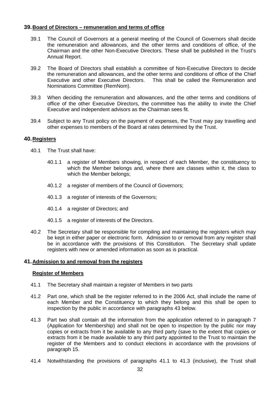## <span id="page-31-0"></span>**39.Board of Directors – remuneration and terms of office**

- 39.1 The Council of Governors at a general meeting of the Council of Governors shall decide the remuneration and allowances, and the other terms and conditions of office, of the Chairman and the other Non-Executive Directors. These shall be published in the Trust's Annual Report.
- 39.2 The Board of Directors shall establish a committee of Non-Executive Directors to decide the remuneration and allowances, and the other terms and conditions of office of the Chief Executive and other Executive Directors. This shall be called the Remuneration and Nominations Committee (RemNom).
- 39.3 When deciding the remuneration and allowances, and the other terms and conditions of office of the other Executive Directors, the committee has the ability to invite the Chief Executive and independent advisors as the Chairman sees fit.
- 39.4 Subject to any Trust policy on the payment of expenses, the Trust may pay travelling and other expenses to members of the Board at rates determined by the Trust.

## <span id="page-31-1"></span>**40.Registers**

- 40.1 The Trust shall have:
	- 40.1.1 a register of Members showing, in respect of each Member, the constituency to which the Member belongs and, where there are classes within it, the class to which the Member belongs;
	- 40.1.2 a register of members of the Council of Governors;
	- 40.1.3 a register of interests of the Governors;
	- 40.1.4 a register of Directors; and
	- 40.1.5 a register of interests of the Directors.
- 40.2 The Secretary shall be responsible for compiling and maintaining the registers which may be kept in either paper or electronic form. Admission to or removal from any register shall be in accordance with the provisions of this Constitution. The Secretary shall update registers with new or amended information as soon as is practical.

#### <span id="page-31-2"></span>**41.Admission to and removal from the registers**

#### **Register of Members**

- 41.1 The Secretary shall maintain a register of Members in two parts
- 41.2 Part one, which shall be the register referred to in the 2006 Act, shall include the name of each Member and the Constituency to which they belong and this shall be open to inspection by the public in accordance with paragraphs 43 below.
- 41.3 Part two shall contain all the information from the application referred to in paragraph 7 (Application for Membership) and shall not be open to inspection by the public nor may copies or extracts from it be available to any third party (save to the extent that copies or extracts from it be made available to any third party appointed to the Trust to maintain the register of the Members and to conduct elections in accordance with the provisions of paragraph 15.
- 41.4 Notwithstanding the provisions of paragraphs 41.1 to 41.3 (inclusive), the Trust shall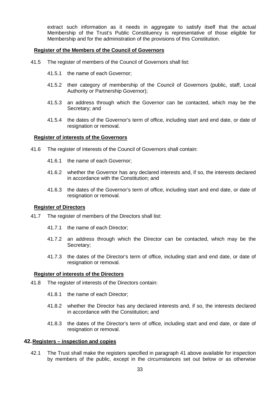extract such information as it needs in aggregate to satisfy itself that the actual Membership of the Trust's Public Constituency is representative of those eligible for Membership and for the administration of the provisions of this Constitution.

#### **Register of the Members of the Council of Governors**

- 41.5 The register of members of the Council of Governors shall list:
	- 41.5.1 the name of each Governor;
	- 41.5.2 their category of membership of the Council of Governors (public, staff, Local Authority or Partnership Governor);
	- 41.5.3 an address through which the Governor can be contacted, which may be the Secretary; and
	- 41.5.4 the dates of the Governor's term of office, including start and end date, or date of resignation or removal.

#### **Register of interests of the Governors**

- 41.6 The register of interests of the Council of Governors shall contain:
	- 41.6.1 the name of each Governor;
	- 41.6.2 whether the Governor has any declared interests and, if so, the interests declared in accordance with the Constitution; and
	- 41.6.3 the dates of the Governor's term of office, including start and end date, or date of resignation or removal.

#### **Register of Directors**

- 41.7 The register of members of the Directors shall list:
	- 41.7.1 the name of each Director;
	- 41.7.2 an address through which the Director can be contacted, which may be the Secretary;
	- 41.7.3 the dates of the Director's term of office, including start and end date, or date of resignation or removal.

#### **Register of interests of the Directors**

- 41.8 The register of interests of the Directors contain:
	- 41.8.1 the name of each Director;
	- 41.8.2 whether the Director has any declared interests and, if so, the interests declared in accordance with the Constitution; and
	- 41.8.3 the dates of the Director's term of office, including start and end date, or date of resignation or removal.

#### <span id="page-32-0"></span>**42.Registers – inspection and copies**

42.1 The Trust shall make the registers specified in paragraph 41 above available for inspection by members of the public, except in the circumstances set out below or as otherwise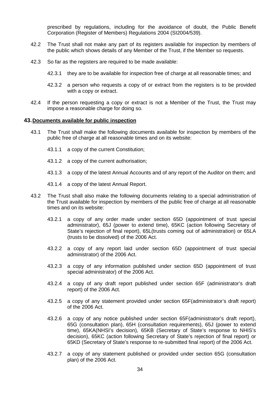prescribed by regulations, including for the avoidance of doubt, the Public Benefit Corporation (Register of Members) Regulations 2004 (SI2004/539).

- 42.2 The Trust shall not make any part of its registers available for inspection by members of the public which shows details of any Member of the Trust, if the Member so requests.
- 42.3 So far as the registers are required to be made available:
	- 42.3.1 they are to be available for inspection free of charge at all reasonable times; and
	- 42.3.2 a person who requests a copy of or extract from the registers is to be provided with a copy or extract.
- 42.4 If the person requesting a copy or extract is not a Member of the Trust, the Trust may impose a reasonable charge for doing so.

#### <span id="page-33-0"></span>**43.Documents available for public inspection**

- 43.1 The Trust shall make the following documents available for inspection by members of the public free of charge at all reasonable times and on its website:
	- 43.1.1 a copy of the current Constitution;
	- 43.1.2 a copy of the current authorisation;
	- 43.1.3 a copy of the latest Annual Accounts and of any report of the Auditor on them; and
	- 43.1.4 a copy of the latest Annual Report.
- 43.2 The Trust shall also make the following documents relating to a special administration of the Trust available for inspection by members of the public free of charge at all reasonable times and on its website:
	- 43.2.1 a copy of any order made under section 65D (appointment of trust special administrator), 65J (power to extend time), 65KC (action following Secretary of State's rejection of final report), 65L(trusts coming out of administration) or 65LA (trusts to be dissolved) of the 2006 Act.
	- 43.2.2 a copy of any report laid under section 65D (appointment of trust special administrator) of the 2006 Act.
	- 43.2.3 a copy of any information published under section 65D (appointment of trust special administrator) of the 2006 Act.
	- 43.2.4 a copy of any draft report published under section 65F (administrator's draft report) of the 2006 Act.
	- 43.2.5 a copy of any statement provided under section 65F(administrator's draft report) of the 2006 Act.
	- 43.2.6 a copy of any notice published under section 65F(administrator's draft report), 65G (consultation plan), 65H (consultation requirements), 65J (power to extend time), 65KA(NHSI's decision), 65KB (Secretary of State's response to NHIS's decision), 65KC (action following Secretary of State's rejection of final report) or 65KD (Secretary of State's response to re-submitted final report) of the 2006 Act.
	- 43.2.7 a copy of any statement published or provided under section 65G (consultation plan) of the 2006 Act.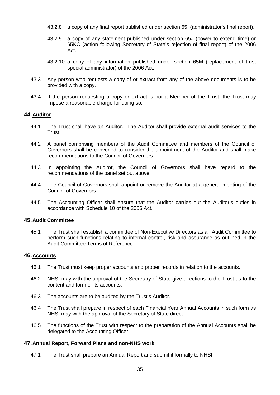- 43.2.8 a copy of any final report published under section 65I (administrator's final report),
- 43.2.9 a copy of any statement published under section 65J (power to extend time) or 65KC (action following Secretary of State's rejection of final report) of the 2006 Act.
- 43.2.10 a copy of any information published under section 65M (replacement of trust special administrator) of the 2006 Act.
- 43.3 Any person who requests a copy of or extract from any of the above documents is to be provided with a copy.
- 43.4 If the person requesting a copy or extract is not a Member of the Trust, the Trust may impose a reasonable charge for doing so.

#### <span id="page-34-0"></span>**44.Auditor**

- 44.1 The Trust shall have an Auditor. The Auditor shall provide external audit services to the **Trust**
- 44.2 A panel comprising members of the Audit Committee and members of the Council of Governors shall be convened to consider the appointment of the Auditor and shall make recommendations to the Council of Governors.
- 44.3 In appointing the Auditor, the Council of Governors shall have regard to the recommendations of the panel set out above.
- 44.4 The Council of Governors shall appoint or remove the Auditor at a general meeting of the Council of Governors.
- 44.5 The Accounting Officer shall ensure that the Auditor carries out the Auditor's duties in accordance with Schedule 10 of the 2006 Act.

#### <span id="page-34-1"></span>**45.Audit Committee**

45.1 The Trust shall establish a committee of Non-Executive Directors as an Audit Committee to perform such functions relating to internal control, risk and assurance as outlined in the Audit Committee Terms of Reference.

#### <span id="page-34-2"></span>**46.Accounts**

- 46.1 The Trust must keep proper accounts and proper records in relation to the accounts.
- 46.2 NHSI may with the approval of the Secretary of State give directions to the Trust as to the content and form of its accounts.
- 46.3 The accounts are to be audited by the Trust's Auditor.
- 46.4 The Trust shall prepare in respect of each Financial Year Annual Accounts in such form as NHSI may with the approval of the Secretary of State direct.
- 46.5 The functions of the Trust with respect to the preparation of the Annual Accounts shall be delegated to the Accounting Officer.

## <span id="page-34-3"></span>**47.Annual Report, Forward Plans and non-NHS work**

47.1 The Trust shall prepare an Annual Report and submit it formally to NHSI.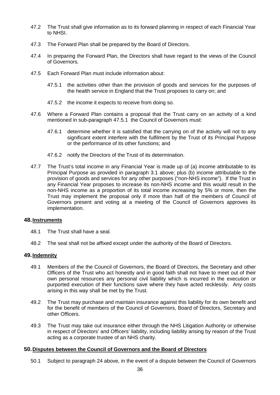- 47.2 The Trust shall give information as to its forward planning in respect of each Financial Year to NHSI.
- 47.3 The Forward Plan shall be prepared by the Board of Directors.
- 47.4 In preparing the Forward Plan, the Directors shall have regard to the views of the Council of Governors.
- 47.5 Each Forward Plan must include information about:
	- 47.5.1 the activities other than the provision of goods and services for the purposes of the health service in England that the Trust proposes to carry on; and
	- 47.5.2 the income it expects to receive from doing so.
- 47.6 Where a Forward Plan contains a proposal that the Trust carry on an activity of a kind mentioned in sub-paragraph 47.5.1 the Council of Governors must:
	- 47.6.1 determine whether it is satisfied that the carrying on of the activity will not to any significant extent interfere with the fulfilment by the Trust of its Principal Purpose or the performance of its other functions; and
	- 47.6.2 notify the Directors of the Trust of its determination.
- 47.7 The Trust's total income in any Financial Year is made up of (a) income attributable to its Principal Purpose as provided in paragraph 3.1 above; plus (b) income attributable to the provision of goods and services for any other purposes ("non-NHS income"). If the Trust in any Financial Year proposes to increase its non-NHS income and this would result in the non-NHS income as a proportion of its total income increasing by 5% or more, then the Trust may implement the proposal only if more than half of the members of Council of Governors present and voting at a meeting of the Council of Governors approves its implementation.

#### <span id="page-35-0"></span>**48.Instruments**

- 48.1 The Trust shall have a seal.
- 48.2 The seal shall not be affixed except under the authority of the Board of Directors.

#### <span id="page-35-1"></span>**49.Indemnity**

- 49.1 Members of the the Council of Governors, the Board of Directors, the Secretary and other Officers of the Trust who act honestly and in good faith shall not have to meet out of their own personal resources any personal civil liability which is incurred in the execution or purported execution of their functions save where they have acted recklessly. Any costs arising in this way shall be met by the Trust.
- 49.2 The Trust may purchase and maintain insurance against this liability for its own benefit and for the benefit of members of the Council of Governors, Board of Directors, Secretary and other Officers.
- 49.3 The Trust may take out insurance either through the NHS Litigation Authority or otherwise in respect of Directors' and Officers' liability, including liability arising by reason of the Trust acting as a corporate trustee of an NHS charity.

## <span id="page-35-2"></span>**50.Disputes between the Council of Governors and the Board of Directors**

50.1 Subject to paragraph 24 above, in the event of a dispute between the Council of Governors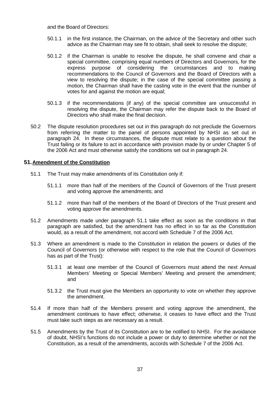and the Board of Directors:

- 50.1.1 in the first instance, the Chairman, on the advice of the Secretary and other such advice as the Chairman may see fit to obtain, shall seek to resolve the dispute;
- 50.1.2 if the Chairman is unable to resolve the dispute, he shall convene and chair a special committee, comprising equal numbers of Directors and Governors, for the express purpose of considering the circumstances and to making recommendations to the Council of Governors and the Board of Directors with a view to resolving the dispute; in the case of the special committee passing a motion, the Chairman shall have the casting vote in the event that the number of votes for and against the motion are equal;
- 50.1.3 if the recommendations (if any) of the special committee are unsuccessful in resolving the dispute, the Chairman may refer the dispute back to the Board of Directors who shall make the final decision.
- 50.2 The dispute resolution procedures set out in this paragraph do not preclude the Governors from referring the matter to the panel of persons appointed by NHSI as set out in paragraph 24. In these circumstances, the dispute must relate to a question about the Trust failing or its failure to act in accordance with provision made by or under Chapter 5 of the 2006 Act and must otherwise satisfy the conditions set out in paragraph 24.

# **51.Amendment of the Constitution**

- 51.1 The Trust may make amendments of its Constitution only if:
	- 51.1.1 more than half of the members of the Council of Governors of the Trust present and voting approve the amendments; and
	- 51.1.2 more than half of the members of the Board of Directors of the Trust present and voting approve the amendments.
- 51.2 Amendments made under paragraph 51.1 take effect as soon as the conditions in that paragraph are satisfied, but the amendment has no effect in so far as the Constitution would, as a result of the amendment, not accord with Schedule 7 of the 2006 Act.
- 51.3 Where an amendment is made to the Constitution in relation the powers or duties of the Council of Governors (or otherwise with respect to the role that the Council of Governors has as part of the Trust):
	- 51.3.1 at least one member of the Council of Governors must attend the next Annual Members' Meeting or Special Members' Meeting and present the amendment; and
	- 51.3.2 the Trust must give the Members an opportunity to vote on whether they approve the amendment.
- 51.4 If more than half of the Members present and voting approve the amendment, the amendment continues to have effect; otherwise, it ceases to have effect and the Trust must take such steps as are necessary as a result.
- 51.5 Amendments by the Trust of its Constitution are to be notified to NHSI. For the avoidance of doubt, NHSI's functions do not include a power or duty to determine whether or not the Constitution, as a result of the amendments, accords with Schedule 7 of the 2006 Act.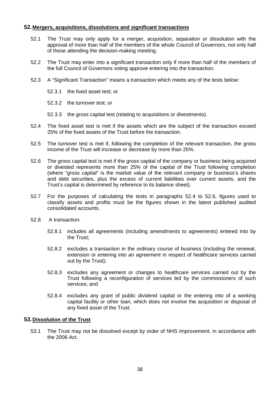# **52.Mergers, acquisitions, dissolutions and significant transactions**

- 52.1 The Trust may only apply for a merger, acquisition, separation or dissolution with the approval of more than half of the members of the whole Council of Governors, not only half of those attending the decision-making meeting.
- 52.2 The Trust may enter into a significant transaction only if more than half of the members of the full Council of Governors voting approve entering into the transaction.
- 52.3 A "Significant Transaction" means a transaction which meets any of the tests below:
	- 52.3.1 the fixed asset test; or
	- 52.3.2 the turnover test; or
	- 52.3.3 the gross capital test (relating to acquisitions or divestments).
- <span id="page-37-0"></span>52.4 The fixed asset test is met if the assets which are the subject of the transaction exceed 25% of the fixed assets of the Trust before the transaction.
- 52.5 The turnover test is met if, following the completion of the relevant transaction, the gross income of the Trust will increase or decrease by more than 25%.
- <span id="page-37-1"></span>52.6 The gross capital test is met if the gross capital of the company or business being acquired or divested represents more than 25% of the capital of the Trust following completion (where "gross capital" is the market value of the relevant company or business's shares and debt securities, plus the excess of current liabilities over current assets, and the Trust's capital is determined by reference to its balance sheet).
- 52.7 For the purposes of calculating the tests in paragraphs [52.4](#page-37-0) to [52.6,](#page-37-1) figures used to classify assets and profits must be the figures shown in the latest published audited consolidated accounts.
- 52.8 A transaction:
	- 52.8.1 includes all agreements (including amendments to agreements) entered into by the Trust;
	- 52.8.2 excludes a transaction in the ordinary course of business (including the renewal, extension or entering into an agreement in respect of healthcare services carried out by the Trust);
	- 52.8.3 excludes any agreement or changes to healthcare services carried out by the Trust following a reconfiguration of services led by the commissioners of such services; and
	- 52.8.4 excludes any grant of public dividend capital or the entering into of a working capital facility or other loan, which does not involve the acquisition or disposal of any fixed asset of the Trust.

# **53.Dissolution of the Trust**

53.1 The Trust may not be dissolved except by order of NHS Improvement, in accordance with the 2006 Act.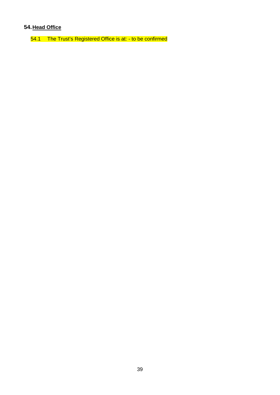# **54.Head Office**

54.1 The Trust's Registered Office is at: - to be confirmed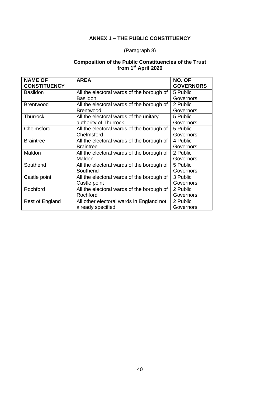# **ANNEX 1 – THE PUBLIC CONSTITUENCY**

# (Paragraph 8)

# **Composition of the Public Constituencies of the Trust from 1st April 2020**

| <b>NAME OF</b>      | <b>AREA</b>                               | NO. OF           |
|---------------------|-------------------------------------------|------------------|
| <b>CONSTITUENCY</b> |                                           | <b>GOVERNORS</b> |
| <b>Basildon</b>     | All the electoral wards of the borough of | 5 Public         |
|                     | <b>Basildon</b>                           | Governors        |
| <b>Brentwood</b>    | All the electoral wards of the borough of | 2 Public         |
|                     | <b>Brentwood</b>                          | Governors        |
| <b>Thurrock</b>     | All the electoral wards of the unitary    | 5 Public         |
|                     | authority of Thurrock                     | Governors        |
| Chelmsford          | All the electoral wards of the borough of | 5 Public         |
|                     | Chelmsford                                | Governors        |
| <b>Braintree</b>    | All the electoral wards of the borough of | 4 Public         |
|                     | <b>Braintree</b>                          | Governors        |
| Maldon              | All the electoral wards of the borough of | 2 Public         |
|                     | Maldon                                    | Governors        |
| Southend            | All the electoral wards of the borough of | 5 Public         |
|                     | Southend                                  | Governors        |
| Castle point        | All the electoral wards of the borough of | 3 Public         |
|                     | Castle point                              | Governors        |
| Rochford            | All the electoral wards of the borough of | 2 Public         |
|                     | Rochford                                  | Governors        |
| Rest of England     | All other electoral wards in England not  | 2 Public         |
|                     | already specified                         | Governors        |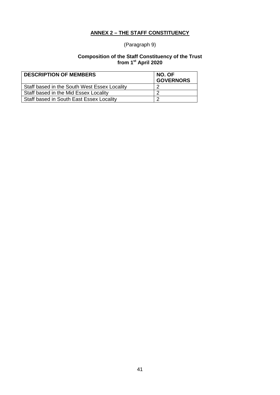# **ANNEX 2 – THE STAFF CONSTITUENCY**

# (Paragraph 9)

## **Composition of the Staff Constituency of the Trust from 1st April 2020**

| <b>DESCRIPTION OF MEMBERS</b>                | NO. OF<br><b>GOVERNORS</b> |
|----------------------------------------------|----------------------------|
| Staff based in the South West Essex Locality |                            |
| Staff based in the Mid Essex Locality        |                            |
| Staff based in South East Essex Locality     |                            |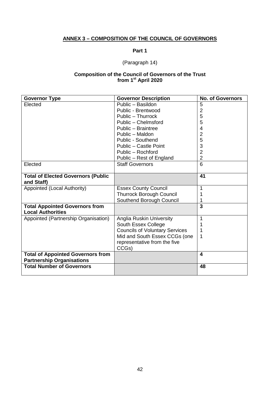# **ANNEX 3 – COMPOSITION OF THE COUNCIL OF GOVERNORS**

# **Part 1**

# (Paragraph 14)

#### **Composition of the Council of Governors of the Trust from 1st April 2020**

| <b>Governor Type</b>                                              | <b>Governor Description</b>           | <b>No. of Governors</b> |
|-------------------------------------------------------------------|---------------------------------------|-------------------------|
| Elected                                                           | Public - Basildon                     | 5                       |
|                                                                   | Public - Brentwood                    | $\overline{2}$          |
|                                                                   | Public - Thurrock                     | 5                       |
|                                                                   | Public - Chelmsford                   | 5                       |
|                                                                   | Public - Braintree                    | 4                       |
|                                                                   | Public - Maldon                       | $\overline{2}$          |
|                                                                   | Public - Southend                     | 5                       |
|                                                                   | Public - Castle Point                 | 3                       |
|                                                                   | Public - Rochford                     | $\overline{2}$          |
|                                                                   | Public - Rest of England              | $\overline{2}$          |
| Elected                                                           | <b>Staff Governors</b>                | 6                       |
| <b>Total of Elected Governors (Public</b>                         |                                       | 41                      |
| and Staff)                                                        |                                       |                         |
| Appointed (Local Authority)                                       | <b>Essex County Council</b>           | 1                       |
|                                                                   | <b>Thurrock Borough Council</b>       |                         |
|                                                                   | Southend Borough Council              |                         |
| <b>Total Appointed Governors from</b><br><b>Local Authorities</b> |                                       | 3                       |
| Appointed (Partnership Organisation)                              | Anglia Ruskin University              | 1                       |
|                                                                   | South Essex College                   |                         |
|                                                                   | <b>Councils of Voluntary Services</b> | 1                       |
|                                                                   | Mid and South Essex CCGs (one         | 1                       |
|                                                                   | representative from the five          |                         |
|                                                                   | CCGs)                                 |                         |
| <b>Total of Appointed Governors from</b>                          |                                       | $\overline{\mathbf{4}}$ |
| <b>Partnership Organisations</b>                                  |                                       |                         |
| <b>Total Number of Governors</b>                                  |                                       | 48                      |
|                                                                   |                                       |                         |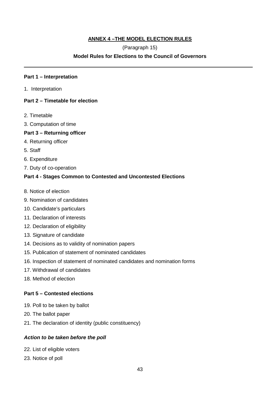# **ANNEX 4 –THE MODEL ELECTION RULES**

# (Paragraph 15)

# **Model Rules for Elections to the Council of Governors**

# **Part 1 – Interpretation**

1. Interpretation

# **Part 2 – Timetable for election**

- 2. Timetable
- 3. Computation of time

# **Part 3 – Returning officer**

- 4. Returning officer
- 5. Staff
- 6. Expenditure
- 7. Duty of co-operation

# **Part 4 - Stages Common to Contested and Uncontested Elections**

- 8. Notice of election
- 9. Nomination of candidates
- 10. Candidate's particulars
- 11. Declaration of interests
- 12. Declaration of eligibility
- 13. Signature of candidate
- 14. Decisions as to validity of nomination papers
- 15. Publication of statement of nominated candidates
- 16. Inspection of statement of nominated candidates and nomination forms
- 17. Withdrawal of candidates
- 18. Method of election

# **Part 5 – Contested elections**

- 19. Poll to be taken by ballot
- 20. The ballot paper
- 21. The declaration of identity (public constituency)

# *Action to be taken before the poll*

- 22. List of eligible voters
- 23. Notice of poll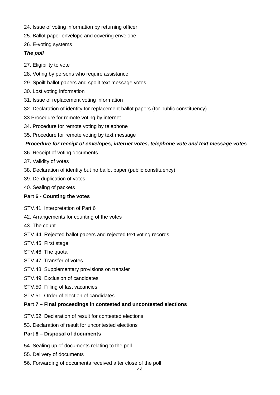- 24. Issue of voting information by returning officer
- 25. Ballot paper envelope and covering envelope
- 26. E-voting systems

# *The poll*

- 27. Eligibility to vote
- 28. Voting by persons who require assistance
- 29. Spoilt ballot papers and spoilt text message votes
- 30. Lost voting information
- 31. Issue of replacement voting information
- 32. Declaration of identity for replacement ballot papers (for public constituency)
- 33 Procedure for remote voting by internet
- 34. Procedure for remote voting by telephone
- 35. Procedure for remote voting by text message

# *Procedure for receipt of envelopes, internet votes, telephone vote and text message votes*

- 36. Receipt of voting documents
- 37. Validity of votes
- 38. Declaration of identity but no ballot paper (public constituency)
- 39. De-duplication of votes
- 40. Sealing of packets

# **Part 6 - Counting the votes**

- STV.41. Interpretation of Part 6
- 42. Arrangements for counting of the votes
- 43. The count
- STV.44. Rejected ballot papers and rejected text voting records
- STV.45. First stage
- STV.46. The quota
- STV.47. Transfer of votes
- STV.48. Supplementary provisions on transfer
- STV.49. Exclusion of candidates
- STV.50. Filling of last vacancies
- STV.51. Order of election of candidates

# **Part 7 – Final proceedings in contested and uncontested elections**

- STV.52. Declaration of result for contested elections
- 53. Declaration of result for uncontested elections

# **Part 8 – Disposal of documents**

- 54. Sealing up of documents relating to the poll
- 55. Delivery of documents
- 56. Forwarding of documents received after close of the poll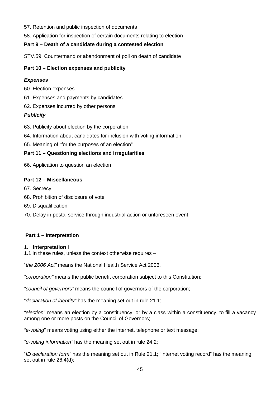- 57. Retention and public inspection of documents
- 58. Application for inspection of certain documents relating to election

# **Part 9 – Death of a candidate during a contested election**

STV.59. Countermand or abandonment of poll on death of candidate

# **Part 10 – Election expenses and publicity**

# *Expenses*

- 60. Election expenses
- 61. Expenses and payments by candidates
- 62. Expenses incurred by other persons

# *Publicity*

- 63. Publicity about election by the corporation
- 64. Information about candidates for inclusion with voting information
- 65. Meaning of "for the purposes of an election"

# **Part 11 – Questioning elections and irregularities**

66. Application to question an election

# **Part 12 – Miscellaneous**

- 67. Secrecy
- 68. Prohibition of disclosure of vote
- 69. Disqualification
- 70. Delay in postal service through industrial action or unforeseen event

# **Part 1 – Interpretation**

# 1. **Interpretation** I

1.1 In these rules, unless the context otherwise requires –

"*the 2006 Act"* means the National Health Service Act 2006.

*"corporation"* means the public benefit corporation subject to this Constitution;

*"council of governors"* means the council of governors of the corporation;

"*declaration of identity"* has the meaning set out in rule 21.1;

*"election*" means an election by a constituency, or by a class within a constituency, to fill a vacancy among one or more posts on the Council of Governors;

*"e-voting*" means voting using either the internet, telephone or text message;

*"e-voting information"* has the meaning set out in rule 24.2;

"*ID declaration form"* has the meaning set out in Rule 21.1; "internet voting record" has the meaning set out in rule 26.4(d);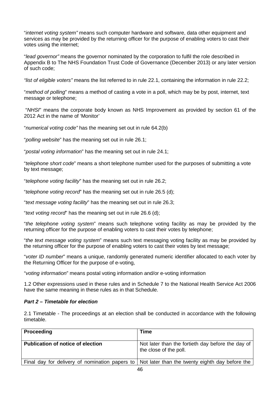"*internet voting system"* means such computer hardware and software, data other equipment and services as may be provided by the returning officer for the purpose of enabling voters to cast their votes using the internet;

"*lead governor"* means the governor nominated by the corporation to fulfil the role described in Appendix B to The NHS Foundation Trust Code of Governance (December 2013) or any later version of such code;

*"list of eligible voters"* means the list referred to in rule 22.1, containing the information in rule 22.2;

"*method of polling*" means a method of casting a vote in a poll, which may be by post, internet, text message or telephone;

"*NHSI*" means the corporate body known as NHS Improvement as provided by section 61 of the 2012 Act in the name of 'Monitor'

"*numerical voting code"* has the meaning set out in rule 64.2(b)

"*polling website*" has the meaning set out in rule 26.1;

"*postal voting information*" has the meaning set out in rule 24.1;

"*telephone short code*" means a short telephone number used for the purposes of submitting a vote by text message;

"*telephone voting facility*" has the meaning set out in rule 26.2;

"*telephone voting record*" has the meaning set out in rule 26.5 (d);

"*text message voting facility*" has the meaning set out in rule 26.3;

"*text voting record*" has the meaning set out in rule 26.6 (d);

"*the telephone voting system*" means such telephone voting facility as may be provided by the returning officer for the purpose of enabling voters to cast their votes by telephone;

"*the text message voting system*" means such text messaging voting facility as may be provided by the returning officer for the purpose of enabling voters to cast their votes by text message;

"*voter ID number*" means a unique, randomly generated numeric identifier allocated to each voter by the Returning Officer for the purpose of e-voting,

"*voting information*" means postal voting information and/or e-voting information

1.2 Other expressions used in these rules and in Schedule 7 to the National Health Service Act 2006 have the same meaning in these rules as in that Schedule.

## *Part 2 – Timetable for election*

2.1 Timetable - The proceedings at an election shall be conducted in accordance with the following timetable.

| Proceeding                               | Time                                                                                             |
|------------------------------------------|--------------------------------------------------------------------------------------------------|
| <b>Publication of notice of election</b> | Not later than the fortieth day before the day of<br>the close of the poll.                      |
|                                          | Final day for delivery of nomination papers to   Not later than the twenty eighth day before the |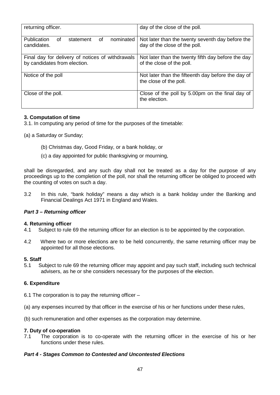| returning officer.                                | day of the close of the poll.                      |
|---------------------------------------------------|----------------------------------------------------|
|                                                   |                                                    |
| Publication<br>nominated<br>of<br>of<br>statement | Not later than the twenty seventh day before the   |
| candidates.                                       | day of the close of the poll.                      |
|                                                   |                                                    |
| Final day for delivery of notices of withdrawals  | Not later than the twenty fifth day before the day |
| by candidates from election.                      | of the close of the poll.                          |
|                                                   |                                                    |
| Notice of the poll                                | Not later than the fifteenth day before the day of |
|                                                   | the close of the poll.                             |
|                                                   |                                                    |
| Close of the poll.                                | Close of the poll by 5.00pm on the final day of    |
|                                                   | the election.                                      |
|                                                   |                                                    |

# **3. Computation of time**

- 3.1. In computing any period of time for the purposes of the timetable:
- (a) a Saturday or Sunday;
	- (b) Christmas day, Good Friday, or a bank holiday, or
	- (c) a day appointed for public thanksgiving or mourning,

shall be disregarded, and any such day shall not be treated as a day for the purpose of any proceedings up to the completion of the poll, nor shall the returning officer be obliged to proceed with the counting of votes on such a day.

3.2 In this rule, "bank holiday" means a day which is a bank holiday under the Banking and Financial Dealings Act 1971 in England and Wales.

# *Part 3 – Returning officer*

# **4. Returning officer**

- Subject to rule 69 the returning officer for an election is to be appointed by the corporation.
- 4.2 Where two or more elections are to be held concurrently, the same returning officer may be appointed for all those elections.

# **5. Staff**

5.1 Subject to rule 69 the returning officer may appoint and pay such staff, including such technical advisers, as he or she considers necessary for the purposes of the election.

# **6. Expenditure**

- 6.1 The corporation is to pay the returning officer –
- (a) any expenses incurred by that officer in the exercise of his or her functions under these rules,
- (b) such remuneration and other expenses as the corporation may determine.

# **7. Duty of co-operation**

The corporation is to co-operate with the returning officer in the exercise of his or her functions under these rules.

# *Part 4 - Stages Common to Contested and Uncontested Elections*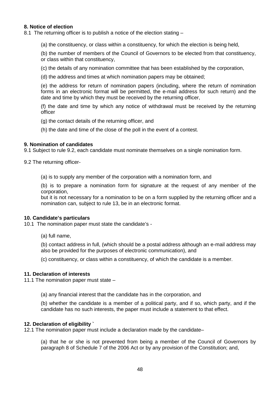# **8. Notice of election**

8.1 The returning officer is to publish a notice of the election stating –

(a) the constituency, or class within a constituency, for which the election is being held,

(b) the number of members of the Council of Governors to be elected from that constituency, or class within that constituency,

(c) the details of any nomination committee that has been established by the corporation,

(d) the address and times at which nomination papers may be obtained;

(e) the address for return of nomination papers (including, where the return of nomination forms in an electronic format will be permitted, the e-mail address for such return) and the date and time by which they must be received by the returning officer,

(f) the date and time by which any notice of withdrawal must be received by the returning officer

(g) the contact details of the returning officer, and

(h) the date and time of the close of the poll in the event of a contest.

#### **9. Nomination of candidates**

9.1 Subject to rule 9.2, each candidate must nominate themselves on a single nomination form.

9.2 The returning officer-

(a) is to supply any member of the corporation with a nomination form, and

(b) is to prepare a nomination form for signature at the request of any member of the corporation,

but it is not necessary for a nomination to be on a form supplied by the returning officer and a nomination can, subject to rule 13, be in an electronic format.

#### **10. Candidate's particulars**

10.1 The nomination paper must state the candidate's -

(a) full name,

(b) contact address in full, (which should be a postal address although an e-mail address may also be provided for the purposes of electronic communication), and

(c) constituency, or class within a constituency, of which the candidate is a member.

#### **11. Declaration of interests**

11.1 The nomination paper must state –

(a) any financial interest that the candidate has in the corporation, and

(b) whether the candidate is a member of a political party, and if so, which party, and if the candidate has no such interests, the paper must include a statement to that effect.

#### **12. Declaration of eligibility `**

12.1 The nomination paper must include a declaration made by the candidate–

(a) that he or she is not prevented from being a member of the Council of Governors by paragraph 8 of Schedule 7 of the 2006 Act or by any provision of the Constitution; and,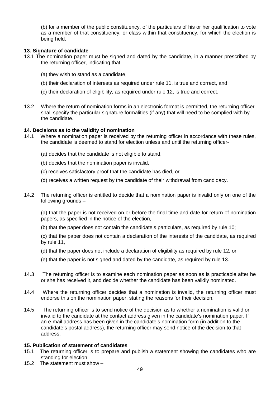(b) for a member of the public constituency, of the particulars of his or her qualification to vote as a member of that constituency, or class within that constituency, for which the election is being held.

# **13. Signature of candidate**

- 13.1 The nomination paper must be signed and dated by the candidate, in a manner prescribed by the returning officer, indicating that –
	- (a) they wish to stand as a candidate,
	- (b) their declaration of interests as required under rule 11, is true and correct, and
	- (c) their declaration of eligibility, as required under rule 12, is true and correct.
- 13.2 Where the return of nomination forms in an electronic format is permitted, the returning officer shall specify the particular signature formalities (if any) that will need to be complied with by the candidate.

# **14. Decisions as to the validity of nomination**

- Where a nomination paper is received by the returning officer in accordance with these rules, the candidate is deemed to stand for election unless and until the returning officer-
	- (a) decides that the candidate is not eligible to stand,
	- (b) decides that the nomination paper is invalid,
	- (c) receives satisfactory proof that the candidate has died, or
	- (d) receives a written request by the candidate of their withdrawal from candidacy.
- 14.2 The returning officer is entitled to decide that a nomination paper is invalid only on one of the following grounds –

(a) that the paper is not received on or before the final time and date for return of nomination papers, as specified in the notice of the election,

(b) that the paper does not contain the candidate's particulars, as required by rule 10;

(c) that the paper does not contain a declaration of the interests of the candidate, as required by rule 11,

- (d) that the paper does not include a declaration of eligibility as required by rule 12, or
- (e) that the paper is not signed and dated by the candidate, as required by rule 13.
- 14.3 The returning officer is to examine each nomination paper as soon as is practicable after he or she has received it, and decide whether the candidate has been validly nominated.
- 14.4 Where the returning officer decides that a nomination is invalid, the returning officer must endorse this on the nomination paper, stating the reasons for their decision.
- 14.5 The returning officer is to send notice of the decision as to whether a nomination is valid or invalid to the candidate at the contact address given in the candidate's nomination paper. If an e-mail address has been given in the candidate's nomination form (in addition to the candidate's postal address), the returning officer may send notice of the decision to that address.

#### **15. Publication of statement of candidates**

- 15.1 The returning officer is to prepare and publish a statement showing the candidates who are standing for election.
- 15.2 The statement must show –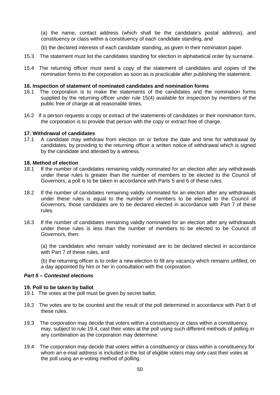(a) the name, contact address (which shall be the candidate's postal address), and constituency or class within a constituency of each candidate standing, and

- (b) the declared interests of each candidate standing, as given in their nomination paper.
- 15.3 The statement must list the candidates standing for election in alphabetical order by surname.
- 15.4 The returning officer must send a copy of the statement of candidates and copies of the nomination forms to the corporation as soon as is practicable after publishing the statement.

#### **16. Inspection of statement of nominated candidates and nomination forms**

- 16.1 The corporation is to make the statements of the candidates and the nomination forms supplied by the returning officer under rule 15(4) available for inspection by members of the public free of charge at all reasonable times.
- 16.2 If a person requests a copy or extract of the statements of candidates or their nomination form, the corporation is to provide that person with the copy or extract free of charge.

#### **17. Withdrawal of candidates**

17.1 A candidate may withdraw from election on or before the date and time for withdrawal by candidates, by providing to the returning officer a written notice of withdrawal which is signed by the candidate and attested by a witness.

#### **18. Method of election**

- 18.1 If the number of candidates remaining validly nominated for an election after any withdrawals under these rules is greater than the number of members to be elected to the Council of Governors, a poll is to be taken in accordance with Parts 5 and 6 of these rules.
- 18.2 If the number of candidates remaining validly nominated for an election after any withdrawals under these rules is equal to the number of members to be elected to the Council of Governors, those candidates are to be declared elected in accordance with Part 7 of these rules.
- 18.3 If the number of candidates remaining validly nominated for an election after any withdrawals under these rules is less than the number of members to be elected to be Council of Governors, then:

(a) the candidates who remain validly nominated are to be declared elected in accordance with Part 7 of these rules, and

(b) the returning officer is to order a new election to fill any vacancy which remains unfilled, on a day appointed by him or her in consultation with the corporation.

#### *Part 5 – Contested elections*

#### **19. Poll to be taken by ballot**

- 19.1 The votes at the poll must be given by secret ballot.
- 19.2 The votes are to be counted and the result of the poll determined in accordance with Part 6 of these rules.
- 19.3 The corporation may decide that voters within a constituency or class within a constituency, may, subject to rule 19.4, cast their votes at the poll using such different methods of polling in any combination as the corporation may determine.
- 19.4 The corporation may decide that voters within a constituency or class within a constituency for whom an e-mail address is included in the list of eligible voters may only cast their votes at the poll using an e-voting method of polling.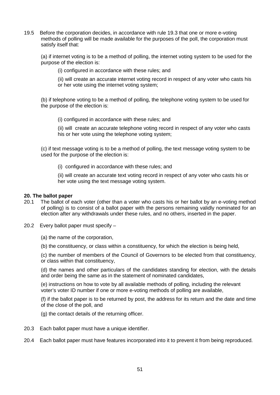19.5 Before the corporation decides, in accordance with rule 19.3 that one or more e-voting methods of polling will be made available for the purposes of the poll, the corporation must satisfy itself that:

(a) if internet voting is to be a method of polling, the internet voting system to be used for the purpose of the election is:

(i) configured in accordance with these rules; and

(ii) will create an accurate internet voting record in respect of any voter who casts his or her vote using the internet voting system;

(b) if telephone voting to be a method of polling, the telephone voting system to be used for the purpose of the election is:

(i) configured in accordance with these rules; and

(ii) will create an accurate telephone voting record in respect of any voter who casts his or her vote using the telephone voting system;

(c) if text message voting is to be a method of polling, the text message voting system to be used for the purpose of the election is:

(i) configured in accordance with these rules; and

(ii) will create an accurate text voting record in respect of any voter who casts his or her vote using the text message voting system.

#### **20. The ballot paper**

- 20.1 The ballot of each voter (other than a voter who casts his or her ballot by an e-voting method of polling) is to consist of a ballot paper with the persons remaining validly nominated for an election after any withdrawals under these rules, and no others, inserted in the paper.
- 20.2 Every ballot paper must specify
	- (a) the name of the corporation,
	- (b) the constituency, or class within a constituency, for which the election is being held,

(c) the number of members of the Council of Governors to be elected from that constituency, or class within that constituency,

(d) the names and other particulars of the candidates standing for election, with the details and order being the same as in the statement of nominated candidates,

(e) instructions on how to vote by all available methods of polling, including the relevant voter's voter ID number if one or more e-voting methods of polling are available,

(f) if the ballot paper is to be returned by post, the address for its return and the date and time of the close of the poll, and

(g) the contact details of the returning officer.

- 20.3 Each ballot paper must have a unique identifier.
- 20.4 Each ballot paper must have features incorporated into it to prevent it from being reproduced.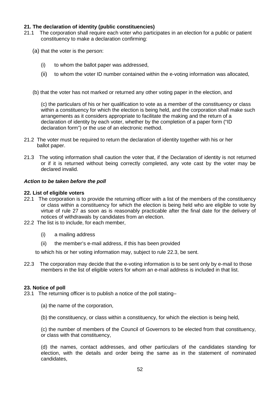# **21. The declaration of identity (public constituencies)**

- 21.1 The corporation shall require each voter who participates in an election for a public or patient constituency to make a declaration confirming:
	- (a) that the voter is the person:
		- (i) to whom the ballot paper was addressed,
		- (ii) to whom the voter ID number contained within the e-voting information was allocated,
	- (b) that the voter has not marked or returned any other voting paper in the election, and

(c) the particulars of his or her qualification to vote as a member of the constituency or class within a constituency for which the election is being held, and the corporation shall make such arrangements as it considers appropriate to facilitate the making and the return of a declaration of identity by each voter, whether by the completion of a paper form ("ID declaration form") or the use of an electronic method.

- 21.2 The voter must be required to return the declaration of identity together with his or her ballot paper.
- 21.3 The voting information shall caution the voter that, if the Declaration of identity is not returned or if it is returned without being correctly completed, any vote cast by the voter may be declared invalid.

# *Action to be taken before the poll*

## **22. List of eligible voters**

- 22.1The corporation is to provide the returning officer with a list of the members of the constituency or class within a constituency for which the election is being held who are eligible to vote by virtue of rule 27 as soon as is reasonably practicable after the final date for the delivery of notices of withdrawals by candidates from an election.
- 22.2 The list is to include, for each member,
	- (i) a mailing address
	- (ii) the member's e-mail address, if this has been provided

to which his or her voting information may, subject to rule 22.3, be sent.

22.3 The corporation may decide that the e-voting information is to be sent only by e-mail to those members in the list of eligible voters for whom an e-mail address is included in that list.

# **23. Notice of poll**

- 23.1The returning officer is to publish a notice of the poll stating–
	- (a) the name of the corporation,
	- (b) the constituency, or class within a constituency, for which the election is being held,

(c) the number of members of the Council of Governors to be elected from that constituency, or class with that constituency,

(d) the names, contact addresses, and other particulars of the candidates standing for election, with the details and order being the same as in the statement of nominated candidates,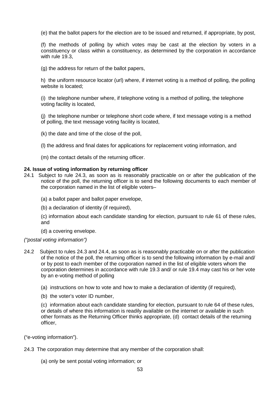(e) that the ballot papers for the election are to be issued and returned, if appropriate, by post,

(f) the methods of polling by which votes may be cast at the election by voters in a constituency or class within a constituency, as determined by the corporation in accordance with rule 19.3,

(g) the address for return of the ballot papers,

h) the uniform resource locator (url) where, if internet voting is a method of polling, the polling website is located;

(i) the telephone number where, if telephone voting is a method of polling, the telephone voting facility is located,

(j) the telephone number or telephone short code where, if text message voting is a method of polling, the text message voting facility is located,

(k) the date and time of the close of the poll,

(l) the address and final dates for applications for replacement voting information, and

(m) the contact details of the returning officer.

# **24. Issue of voting information by returning officer**

24.1 Subject to rule 24.3, as soon as is reasonably practicable on or after the publication of the notice of the poll, the returning officer is to send the following documents to each member of the corporation named in the list of eligible voters–

(a) a ballot paper and ballot paper envelope,

(b) a declaration of identity (if required),

(c) information about each candidate standing for election, pursuant to rule 61 of these rules, and

(d) a covering envelope.

*("postal voting information")*

- 24.2 Subject to rules 24.3 and 24.4, as soon as is reasonably practicable on or after the publication of the notice of the poll, the returning officer is to send the following information by e-mail and/ or by post to each member of the corporation named in the list of eligible voters whom the corporation determines in accordance with rule 19.3 and/ or rule 19.4 may cast his or her vote by an e-voting method of polling
	- (a) instructions on how to vote and how to make a declaration of identity (if required),
	- (b) the voter's voter ID number,

(c) information about each candidate standing for election, pursuant to rule 64 of these rules, or details of where this information is readily available on the internet or available in such other formats as the Returning Officer thinks appropriate, (d) contact details of the returning officer,

("e-voting information").

24.3 The corporation may determine that any member of the corporation shall:

(a) only be sent postal voting information; or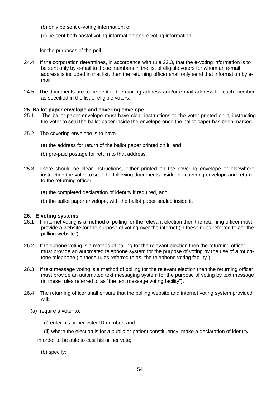- (b) only be sent e-voting information; or
- (c) be sent both postal voting information and e-voting information;

for the purposes of the poll.

- 24.4 If the corporation determines, in accordance with rule 22.3, that the e-voting information is to be sent only by e-mail to those members in the list of eligible voters for whom an e-mail address is included in that list, then the returning officer shall only send that information by email.
- 24.5 The documents are to be sent to the mailing address and/or e-mail address for each member, as specified in the list of eligible voters.

## **25. Ballot paper envelope and covering envelope**

- 25.1 The ballot paper envelope must have clear instructions to the voter printed on it, instructing the voter to seal the ballot paper inside the envelope once the ballot paper has been marked.
- 25.2 The covering envelope is to have
	- (a) the address for return of the ballot paper printed on it, and
	- (b) pre-paid postage for return to that address.
- 25.3 There should be clear instructions, either printed on the covering envelope or elsewhere, instructing the voter to seal the following documents inside the covering envelope and return it to the returning officer –
	- (a) the completed declaration of identity if required, and
	- (b) the ballot paper envelope, with the ballot paper sealed inside it.

#### **26. E-voting systems**

- 26.1 If internet voting is a method of polling for the relevant election then the returning officer must provide a website for the purpose of voting over the internet (in these rules referred to as "the polling website").
- 26.2 If telephone voting is a method of polling for the relevant election then the returning officer must provide an automated telephone system for the purpose of voting by the use of a touchtone telephone (in these rules referred to as "the telephone voting facility").
- 26.3 If text message voting is a method of polling for the relevant election then the returning officer must provide an automated text messaging system for the purpose of voting by text message (in these rules referred to as "the text message voting facility").
- 26.4 The returning officer shall ensure that the polling website and internet voting system provided will:
	- (a) require a voter to:
		- (i) enter his or her voter ID number; and
		- (ii) where the election is for a public or patient constituency, make a declaration of identity;
		- in order to be able to cast his or her vote;
			- (b) specify: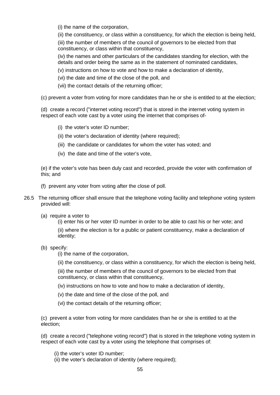(i) the name of the corporation,

(ii) the constituency, or class within a constituency, for which the election is being held,

(iii) the number of members of the council of governors to be elected from that constituency, or class within that constituency,

(iv) the names and other particulars of the candidates standing for election, with the details and order being the same as in the statement of nominated candidates,

(v) instructions on how to vote and how to make a declaration of identity,

(vi) the date and time of the close of the poll, and

(vii) the contact details of the returning officer;

(c) prevent a voter from voting for more candidates than he or she is entitled to at the election;

(d) create a record ("internet voting record") that is stored in the internet voting system in respect of each vote cast by a voter using the internet that comprises of-

- (i) the voter's voter ID number;
- (ii) the voter's declaration of identity (where required);
- (iii) the candidate or candidates for whom the voter has voted; and
- (iv) the date and time of the voter's vote,

(e) if the voter's vote has been duly cast and recorded, provide the voter with confirmation of this; and

- (f) prevent any voter from voting after the close of poll.
- 26.5 The returning officer shall ensure that the telephone voting facility and telephone voting system provided will:
	- (a) require a voter to

(i) enter his or her voter ID number in order to be able to cast his or her vote; and (ii) where the election is for a public or patient constituency, make a declaration of identity;

(b) specify:

(i) the name of the corporation,

(ii) the constituency, or class within a constituency, for which the election is being held,

(iii) the number of members of the council of governors to be elected from that constituency, or class within that constituency,

- (iv) instructions on how to vote and how to make a declaration of identity,
- (v) the date and time of the close of the poll, and
- (vi) the contact details of the returning officer;

(c) prevent a voter from voting for more candidates than he or she is entitled to at the election;

(d) create a record ("telephone voting record") that is stored in the telephone voting system in respect of each vote cast by a voter using the telephone that comprises of:

- (i) the voter's voter ID number;
- (ii) the voter's declaration of identity (where required);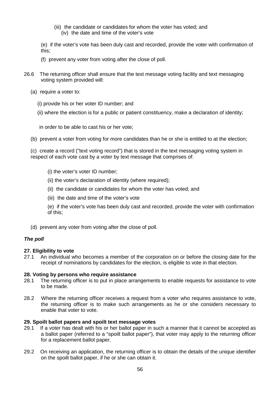- (iii) the candidate or candidates for whom the voter has voted; and
	- (iv) the date and time of the voter's vote

(e) if the voter's vote has been duly cast and recorded, provide the voter with confirmation of this;

- (f) prevent any voter from voting after the close of poll.
- 26.6 The returning officer shall ensure that the text message voting facility and text messaging voting system provided will:
	- (a) require a voter to:
		- (i) provide his or her voter ID number; and
		- (ii) where the election is for a public or patient constituency, make a declaration of identity;

in order to be able to cast his or her vote;

(b) prevent a voter from voting for more candidates than he or she is entitled to at the election;

(c) create a record ("text voting record") that is stored in the text messaging voting system in respect of each vote cast by a voter by text message that comprises of:

- (i) the voter's voter ID number;
- (ii) the voter's declaration of identity (where required);
- (ii) the candidate or candidates for whom the voter has voted; and
- (iii) the date and time of the voter's vote
- (e) if the voter's vote has been duly cast and recorded, provide the voter with confirmation of this;
- (d) prevent any voter from voting after the close of poll.

# *The poll*

# **27. Eligibility to vote**

27.1 An individual who becomes a member of the corporation on or before the closing date for the receipt of nominations by candidates for the election, is eligible to vote in that election.

# **28. Voting by persons who require assistance**

- 28.1 The returning officer is to put in place arrangements to enable requests for assistance to vote to be made.
- 28.2 Where the returning officer receives a request from a voter who requires assistance to vote, the returning officer is to make such arrangements as he or she considers necessary to enable that voter to vote.

# **29. Spoilt ballot papers and spoilt text message votes**

- 29.1 If a voter has dealt with his or her ballot paper in such a manner that it cannot be accepted as a ballot paper (referred to a "spoilt ballot paper"), that voter may apply to the returning officer for a replacement ballot paper.
- 29.2 On receiving an application, the returning officer is to obtain the details of the unique identifier on the spoilt ballot paper, if he or she can obtain it.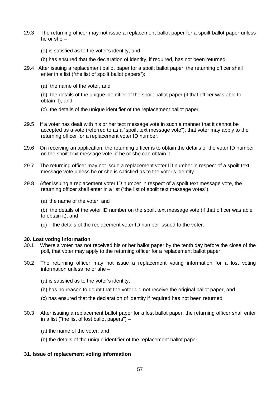- 29.3 The returning officer may not issue a replacement ballot paper for a spoilt ballot paper unless he or she –
	- (a) is satisfied as to the voter's identity, and
	- (b) has ensured that the declaration of identity, if required, has not been returned.
- 29.4 After issuing a replacement ballot paper for a spoilt ballot paper, the returning officer shall enter in a list ("the list of spoilt ballot papers"):
	- (a) the name of the voter, and

(b) the details of the unique identifier of the spoilt ballot paper (if that officer was able to obtain it), and

- (c) the details of the unique identifier of the replacement ballot paper.
- 29.5 If a voter has dealt with his or her text message vote in such a manner that it cannot be accepted as a vote (referred to as a "spoilt text message vote"), that voter may apply to the returning officer for a replacement voter ID number.
- 29.6 On receiving an application, the returning officer is to obtain the details of the voter ID number on the spoilt text message vote, if he or she can obtain it.
- 29.7 The returning officer may not issue a replacement voter ID number in respect of a spoilt text message vote unless he or she is satisfied as to the voter's identity.
- 29.8 After issuing a replacement voter ID number in respect of a spoilt text message vote, the returning officer shall enter in a list ("the list of spoilt text message votes"):
	- (a) the name of the voter, and

(b) the details of the voter ID number on the spoilt text message vote (if that officer was able to obtain it), and

(c) the details of the replacement voter ID number issued to the voter.

#### **30. Lost voting information**

- 30.1 Where a voter has not received his or her ballot paper by the tenth day before the close of the poll, that voter may apply to the returning officer for a replacement ballot paper.
- 30.2 The returning officer may not issue a replacement voting information for a lost voting information unless he or she –
	- (a) is satisfied as to the voter's identity,
	- (b) has no reason to doubt that the voter did not receive the original ballot paper, and
	- (c) has ensured that the declaration of identity if required has not been returned.
- 30.3 After issuing a replacement ballot paper for a lost ballot paper, the returning officer shall enter in a list ("the list of lost ballot papers") –
	- (a) the name of the voter, and
	- (b) the details of the unique identifier of the replacement ballot paper.

# **31. Issue of replacement voting information**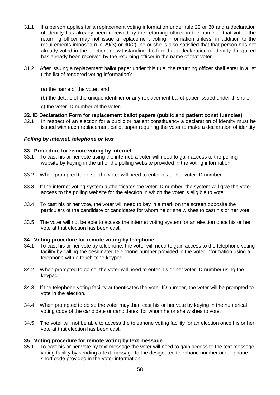- 31.1 If a person applies for a replacement voting information under rule 29 or 30 and a declaration of identity has already been received by the returning officer in the name of that voter, the returning officer may not issue a replacement voting information unless, in addition to the requirements imposed rule 29(3) or 30(2), he or she is also satisfied that that person has not already voted in the election, notwithstanding the fact that a declaration of identity if required has already been received by the returning officer in the name of that voter.
- 31.2 After issuing a replacement ballot paper under this rule, the returning officer shall enter in a list ("the list of tendered voting information):
	- (a) the name of the voter, and
	- (b) the details of the unique identifier or any replacement ballot paper issued under this rule'
	- c) the voter ID number of the voter.

## **32. ID Declaration Form for replacement ballot papers (public and patient constituencies)**

32.1 In respect of an election for a public or patient constituency a declaration of identity must be issued with each replacement ballot paper requiring the voter to make a declaration of identity

## *Polling by internet, telephone or text*

## **33. Procedure for remote voting by internet**

- 33.1 To cast his or her vote using the internet, a voter will need to gain access to the polling website by keying in the url of the polling website provided in the voting information.
- 33.2 When prompted to do so, the voter will need to enter his or her voter ID number.
- 33.3 If the internet voting system authenticates the voter ID number, the system will give the voter access to the polling website for the election in which the voter is eligible to vote.
- 33.4 To cast his or her vote, the voter will need to key in a mark on the screen opposite the particulars of the candidate or candidates for whom he or she wishes to cast his or her vote.
- 33.5 The voter will not be able to access the internet voting system for an election once his or her vote at that election has been cast.

#### **34. Voting procedure for remote voting by telephone**

- 34.1 To cast his or her vote by telephone, the voter will need to gain access to the telephone voting facility by calling the designated telephone number provided in the voter information using a telephone with a touch-tone keypad.
- 34.2 When prompted to do so, the voter will need to enter his or her voter ID number using the keypad.
- 34.3 If the telephone voting facility authenticates the voter ID number, the voter will be prompted to vote in the election.
- 34.4 When prompted to do so the voter may then cast his or her vote by keying in the numerical voting code of the candidate or candidates, for whom he or she wishes to vote.
- 34.5 The voter will not be able to access the telephone voting facility for an election once his or her vote at that election has been cast.

#### **35. Voting procedure for remote voting by text message**

35.1 To cast his or her vote by text message the voter will need to gain access to the text message voting facility by sending a text message to the designated telephone number or telephone short code provided in the voter information.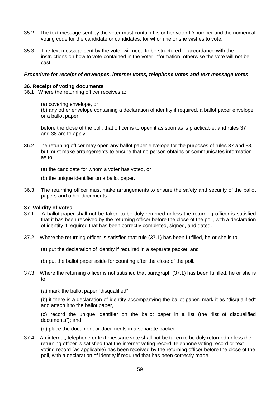- 35.2 The text message sent by the voter must contain his or her voter ID number and the numerical voting code for the candidate or candidates, for whom he or she wishes to vote.
- 35.3 The text message sent by the voter will need to be structured in accordance with the instructions on how to vote contained in the voter information, otherwise the vote will not be cast.

#### *Procedure for receipt of envelopes, internet votes, telephone votes and text message votes*

#### **36. Receipt of voting documents**

- 36.1 Where the returning officer receives a:
	- (a) covering envelope, or

(b) any other envelope containing a declaration of identity if required, a ballot paper envelope, or a ballot paper,

before the close of the poll, that officer is to open it as soon as is practicable; and rules 37 and 38 are to apply.

- 36.2 The returning officer may open any ballot paper envelope for the purposes of rules 37 and 38, but must make arrangements to ensure that no person obtains or communicates information as to:
	- (a) the candidate for whom a voter has voted, or
	- (b) the unique identifier on a ballot paper.
- 36.3 The returning officer must make arrangements to ensure the safety and security of the ballot papers and other documents.

#### **37. Validity of votes**

- 37.1 A ballot paper shall not be taken to be duly returned unless the returning officer is satisfied that it has been received by the returning officer before the close of the poll, with a declaration of identity if required that has been correctly completed, signed, and dated.
- 37.2 Where the returning officer is satisfied that rule (37.1) has been fulfilled, he or she is to
	- (a) put the declaration of identity if required in a separate packet, and
	- (b) put the ballot paper aside for counting after the close of the poll.
- 37.3 Where the returning officer is not satisfied that paragraph (37.1) has been fulfilled, he or she is to:
	- (a) mark the ballot paper "disqualified",

(b) if there is a declaration of identity accompanying the ballot paper, mark it as "disqualified" and attach it to the ballot paper,

(c) record the unique identifier on the ballot paper in a list (the "list of disqualified documents"); and

- (d) place the document or documents in a separate packet.
- 37.4 An internet, telephone or text message vote shall not be taken to be duly returned unless the returning officer is satisfied that the internet voting record, telephone voting record or text voting record (as applicable) has been received by the returning officer before the close of the poll, with a declaration of identity if required that has been correctly made.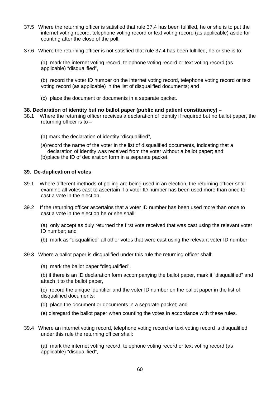- 37.5 Where the returning officer is satisfied that rule 37.4 has been fulfilled, he or she is to put the internet voting record, telephone voting record or text voting record (as applicable) aside for counting after the close of the poll.
- 37.6 Where the returning officer is not satisfied that rule 37.4 has been fulfilled, he or she is to:

(a) mark the internet voting record, telephone voting record or text voting record (as applicable) "disqualified",

(b) record the voter ID number on the internet voting record, telephone voting record or text voting record (as applicable) in the list of disqualified documents; and

(c) place the document or documents in a separate packet.

## **38. Declaration of identity but no ballot paper (public and patient constituency) –**

- 38.1 Where the returning officer receives a declaration of identity if required but no ballot paper, the returning officer is to –
	- (a) mark the declaration of identity "disqualified",
	- (a)record the name of the voter in the list of disqualified documents, indicating that a declaration of identity was received from the voter without a ballot paper; and
	- (b)place the ID of declaration form in a separate packet.

# **39. De-duplication of votes**

- 39.1 Where different methods of polling are being used in an election, the returning officer shall examine all votes cast to ascertain if a voter ID number has been used more than once to cast a vote in the election.
- 39.2 If the returning officer ascertains that a voter ID number has been used more than once to cast a vote in the election he or she shall:

(a) only accept as duly returned the first vote received that was cast using the relevant voter ID number; and

- (b) mark as "disqualified" all other votes that were cast using the relevant voter ID number
- 39.3 Where a ballot paper is disqualified under this rule the returning officer shall:
	- (a) mark the ballot paper "disqualified",

(b) if there is an ID declaration form accompanying the ballot paper, mark it "disqualified" and attach it to the ballot paper,

(c) record the unique identifier and the voter ID number on the ballot paper in the list of disqualified documents;

- (d) place the document or documents in a separate packet; and
- (e) disregard the ballot paper when counting the votes in accordance with these rules.
- 39.4 Where an internet voting record, telephone voting record or text voting record is disqualified under this rule the returning officer shall:

(a) mark the internet voting record, telephone voting record or text voting record (as applicable) "disqualified",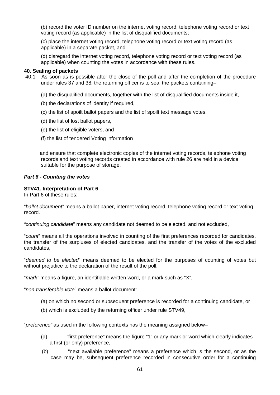(b) record the voter ID number on the internet voting record, telephone voting record or text voting record (as applicable) in the list of disqualified documents;

(c) place the internet voting record, telephone voting record or text voting record (as applicable) in a separate packet, and

(d) disregard the internet voting record, telephone voting record or text voting record (as applicable) when counting the votes in accordance with these rules.

## **40. Sealing of packets**

- 40.1 As soon as is possible after the close of the poll and after the completion of the procedure under rules 37 and 38, the returning officer is to seal the packets containing–
	- (a) the disqualified documents, together with the list of disqualified documents inside it,
	- (b) the declarations of identity if required,
	- (c) the list of spoilt ballot papers and the list of spoilt text message votes,
	- (d) the list of lost ballot papers,
	- (e) the list of eligible voters, and
	- (f) the list of tendered Voting information

 and ensure that complete electronic copies of the internet voting records, telephone voting records and text voting records created in accordance with rule 26 are held in a device suitable for the purpose of storage.

## *Part 6 - Counting the votes*

## **STV41. Interpretation of Part 6**

In Part 6 of these rules:

"*ballot document*" means a ballot paper, internet voting record, telephone voting record or text voting record.

*"continuing candidate*" means any candidate not deemed to be elected, and not excluded,

"*count*" means all the operations involved in counting of the first preferences recorded for candidates, the transfer of the surpluses of elected candidates, and the transfer of the votes of the excluded candidates,

"*deemed to be elected*" means deemed to be elected for the purposes of counting of votes but without prejudice to the declaration of the result of the poll,

"*mark"* means a figure, an identifiable written word, or a mark such as "X",

"*non-transferable vote*" means a ballot document:

- (a) on which no second or subsequent preference is recorded for a continuing candidate, or
- (b) which is excluded by the returning officer under rule STV49,

"*preference"* as used in the following contexts has the meaning assigned below–

- (a) "first preference" means the figure "1" or any mark or word which clearly indicates a first (or only) preference,
- (b) "next available preference" means a preference which is the second, or as the case may be, subsequent preference recorded in consecutive order for a continuing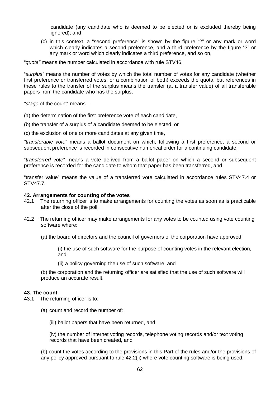candidate (any candidate who is deemed to be elected or is excluded thereby being ignored); and

(c) in this context, a "second preference" is shown by the figure "2" or any mark or word which clearly indicates a second preference, and a third preference by the figure "3" or any mark or word which clearly indicates a third preference, and so on,

"*quota"* means the number calculated in accordance with rule STV46,

"*surplus"* means the number of votes by which the total number of votes for any candidate (whether first preference or transferred votes, or a combination of both) exceeds the quota; but references in these rules to the transfer of the surplus means the transfer (at a transfer value) of all transferable papers from the candidate who has the surplus,

*"stage* of the count" means –

- (a) the determination of the first preference vote of each candidate,
- (b) the transfer of a surplus of a candidate deemed to be elected, or
- (c) the exclusion of one or more candidates at any given time,

*"transferable vote*" means a ballot document on which, following a first preference, a second or subsequent preference is recorded in consecutive numerical order for a continuing candidate.

"*transferred vote*" means a vote derived from a ballot paper on which a second or subsequent preference is recorded for the candidate to whom that paper has been transferred, and

"transfer value" means the value of a transferred vote calculated in accordance rules STV47.4 or STV47.7.

# **42. Arrangements for counting of the votes**

- 42.1 The returning officer is to make arrangements for counting the votes as soon as is practicable after the close of the poll.
- 42.2 The returning officer may make arrangements for any votes to be counted using vote counting software where:

(a) the board of directors and the council of governors of the corporation have approved:

(i) the use of such software for the purpose of counting votes in the relevant election, and

(ii) a policy governing the use of such software, and

(b) the corporation and the returning officer are satisfied that the use of such software will produce an accurate result.

# **43. The count**

- 43.1 The returning officer is to:
	- (a) count and record the number of:
		- (iii) ballot papers that have been returned, and

(iv) the number of internet voting records, telephone voting records and/or text voting records that have been created, and

(b) count the votes according to the provisions in this Part of the rules and/or the provisions of any policy approved pursuant to rule 42.2(ii) where vote counting software is being used.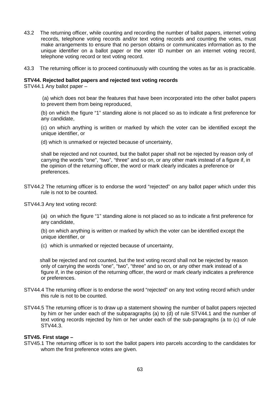- 43.2 The returning officer, while counting and recording the number of ballot papers, internet voting records, telephone voting records and/or text voting records and counting the votes, must make arrangements to ensure that no person obtains or communicates information as to the unique identifier on a ballot paper or the voter ID number on an internet voting record, telephone voting record or text voting record.
- 43.3 The returning officer is to proceed continuously with counting the votes as far as is practicable.

#### **STV44. Rejected ballot papers and rejected text voting records**

STV44.1 Any ballot paper –

(a) which does not bear the features that have been incorporated into the other ballot papers to prevent them from being reproduced,

(b) on which the figure "1" standing alone is not placed so as to indicate a first preference for any candidate,

(c) on which anything is written or marked by which the voter can be identified except the unique identifier, or

(d) which is unmarked or rejected because of uncertainty,

shall be rejected and not counted, but the ballot paper shall not be rejected by reason only of carrying the words "one", "two", "three" and so on, or any other mark instead of a figure if, in the opinion of the returning officer, the word or mark clearly indicates a preference or preferences.

STV44.2 The returning officer is to endorse the word "rejected" on any ballot paper which under this rule is not to be counted.

STV44.3 Any text voting record:

(a) on which the figure "1" standing alone is not placed so as to indicate a first preference for any candidate,

(b) on which anything is written or marked by which the voter can be identified except the unique identifier, or

(c) which is unmarked or rejected because of uncertainty,

 shall be rejected and not counted, but the text voting record shall not be rejected by reason only of carrying the words "one", "two", "three" and so on, or any other mark instead of a figure if, in the opinion of the returning officer, the word or mark clearly indicates a preference or preferences.

- STV44.4 The returning officer is to endorse the word "rejected" on any text voting record which under this rule is not to be counted.
- STV44.5 The returning officer is to draw up a statement showing the number of ballot papers rejected by him or her under each of the subparagraphs (a) to (d) of rule STV44.1 and the number of text voting records rejected by him or her under each of the sub-paragraphs (a to (c) of rule STV44.3.

#### **STV45. First stage –**

STV45.1 The returning officer is to sort the ballot papers into parcels according to the candidates for whom the first preference votes are given.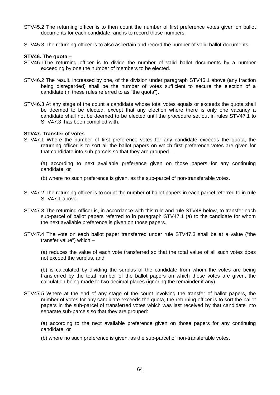- STV45.2 The returning officer is to then count the number of first preference votes given on ballot documents for each candidate, and is to record those numbers.
- STV45.3 The returning officer is to also ascertain and record the number of valid ballot documents.

#### **STV46. The quota –**

- STV46.1The returning officer is to divide the number of valid ballot documents by a number exceeding by one the number of members to be elected.
- STV46.2 The result, increased by one, of the division under paragraph STV46.1 above (any fraction being disregarded) shall be the number of votes sufficient to secure the election of a candidate (in these rules referred to as "the quota").
- STV46.3 At any stage of the count a candidate whose total votes equals or exceeds the quota shall be deemed to be elected, except that any election where there is only one vacancy a candidate shall not be deemed to be elected until the procedure set out in rules STV47.1 to STV47.3 has been complied with.

#### **STV47. Transfer of votes**

STV47.1 Where the number of first preference votes for any candidate exceeds the quota, the returning officer is to sort all the ballot papers on which first preference votes are given for that candidate into sub-parcels so that they are grouped –

(a) according to next available preference given on those papers for any continuing candidate, or

- (b) where no such preference is given, as the sub-parcel of non-transferable votes.
- STV47.2 The returning officer is to count the number of ballot papers in each parcel referred to in rule STV47.1 above.
- STV47.3 The returning officer is, in accordance with this rule and rule STV48 below, to transfer each sub-parcel of ballot papers referred to in paragraph STV47.1 (a) to the candidate for whom the next available preference is given on those papers.
- STV47.4 The vote on each ballot paper transferred under rule STV47.3 shall be at a value ("the transfer value") which –

(a) reduces the value of each vote transferred so that the total value of all such votes does not exceed the surplus, and

(b) is calculated by dividing the surplus of the candidate from whom the votes are being transferred by the total number of the ballot papers on which those votes are given, the calculation being made to two decimal places (ignoring the remainder if any).

STV47.5 Where at the end of any stage of the count involving the transfer of ballot papers, the number of votes for any candidate exceeds the quota, the returning officer is to sort the ballot papers in the sub-parcel of transferred votes which was last received by that candidate into separate sub-parcels so that they are grouped:

(a) according to the next available preference given on those papers for any continuing candidate, or

(b) where no such preference is given, as the sub-parcel of non-transferable votes.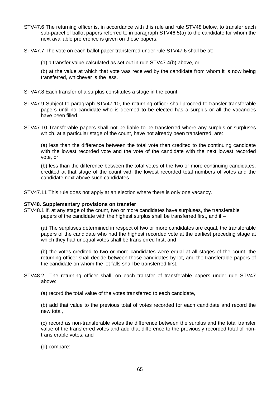- STV47.6 The returning officer is, in accordance with this rule and rule STV48 below, to transfer each sub-parcel of ballot papers referred to in paragraph STV46.5(a) to the candidate for whom the next available preference is given on those papers.
- STV47.7 The vote on each ballot paper transferred under rule STV47.6 shall be at:
	- (a) a transfer value calculated as set out in rule STV47.4(b) above, or

(b) at the value at which that vote was received by the candidate from whom it is now being transferred, whichever is the less.

- STV47.8 Each transfer of a surplus constitutes a stage in the count.
- STV47.9 Subject to paragraph STV47.10, the returning officer shall proceed to transfer transferable papers until no candidate who is deemed to be elected has a surplus or all the vacancies have been filled.
- STV47.10 Transferable papers shall not be liable to be transferred where any surplus or surpluses which, at a particular stage of the count, have not already been transferred, are:

(a) less than the difference between the total vote then credited to the continuing candidate with the lowest recorded vote and the vote of the candidate with the next lowest recorded vote, or

(b) less than the difference between the total votes of the two or more continuing candidates, credited at that stage of the count with the lowest recorded total numbers of votes and the candidate next above such candidates.

STV47.11 This rule does not apply at an election where there is only one vacancy.

#### **STV48. Supplementary provisions on transfer**

STV48.1 If, at any stage of the count, two or more candidates have surpluses, the transferable papers of the candidate with the highest surplus shall be transferred first, and if –

(a) The surpluses determined in respect of two or more candidates are equal, the transferable papers of the candidate who had the highest recorded vote at the earliest preceding stage at which they had unequal votes shall be transferred first, and

(b) the votes credited to two or more candidates were equal at all stages of the count, the returning officer shall decide between those candidates by lot, and the transferable papers of the candidate on whom the lot falls shall be transferred first.

- STV48.2 The returning officer shall, on each transfer of transferable papers under rule STV47 above:
	- (a) record the total value of the votes transferred to each candidate,

(b) add that value to the previous total of votes recorded for each candidate and record the new total,

(c) record as non-transferable votes the difference between the surplus and the total transfer value of the transferred votes and add that difference to the previously recorded total of nontransferable votes, and

(d) compare: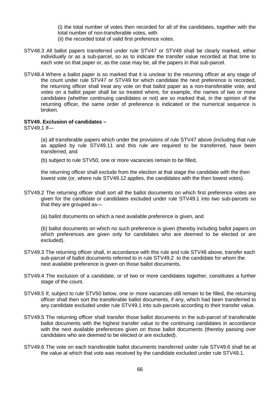(i) the total number of votes then recorded for all of the candidates, together with the total number of non-transferable votes, with

- (ii) the recorded total of valid first preference votes.
- STV48.3 All ballot papers transferred under rule STV47 or STV49 shall be clearly marked, either individually or as a sub-parcel, so as to indicate the transfer value recorded at that time to each vote on that paper or, as the case may be, all the papers in that sub-parcel.
- STV48.4 Where a ballot paper is so marked that it is unclear to the returning officer at any stage of the count under rule STV47 or STV49 for which candidate the next preference is recorded, the returning officer shall treat any vote on that ballot paper as a non-transferable vote; and votes on a ballot paper shall be so treated where, for example, the names of two or more candidates (whether continuing candidates or not) are so marked that, in the opinion of the returning officer, the same order of preference is indicated or the numerical sequence is broken.

## **STV49. Exclusion of candidates –**

STV49.1 If—

(a) all transferable papers which under the provisions of rule STV47 above (including that rule as applied by rule STV49.11 and this rule are required to be transferred, have been transferred, and

(b) subject to rule STV50, one or more vacancies remain to be filled,

the returning officer shall exclude from the election at that stage the candidate with the then lowest vote (or, where rule STV49.12 applies, the candidates with the then lowest votes).

- STV49.2 The returning officer shall sort all the ballot documents on which first preference votes are given for the candidate or candidates excluded under rule STV49.1 into two sub-parcels so that they are grouped as—
	- (a) ballot documents on which a next available preference is given, and

(b) ballot documents on which no such preference is given (thereby including ballot papers on which preferences are given only for candidates who are deemed to be elected or are excluded).

- STV49.3 The returning officer shall, in accordance with this rule and rule STV48 above, transfer each sub-parcel of ballot documents referred to in rule STV49.2 to the candidate for whom the next available preference is given on those ballot documents.
- STV49.4 The exclusion of a candidate, or of two or more candidates together, constitutes a further stage of the count.
- STV49.5 If, subject to rule STV50 below, one or more vacancies still remain to be filled, the returning officer shall then sort the transferable ballot documents, if any, which had been transferred to any candidate excluded under rule STV49.1 into sub-parcels according to their transfer value.
- STV49.5 The returning officer shall transfer those ballot documents in the sub-parcel of transferable ballot documents with the highest transfer value to the continuing candidates in accordance with the next available preferences given on those ballot documents (thereby passing over candidates who are deemed to be elected or are excluded).
- STV49.6 The vote on each transferable ballot documents transferred under rule STV49.6 shall be at the value at which that vote was received by the candidate excluded under rule STV49.1.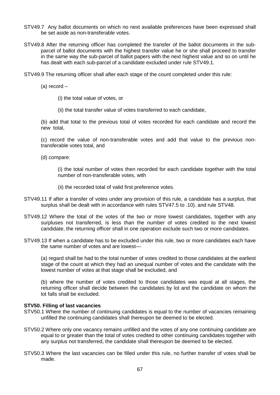- STV49.7 Any ballot documents on which no next available preferences have been expressed shall be set aside as non-transferable votes.
- STV49.8 After the returning officer has completed the transfer of the ballot documents in the subparcel of ballot documents with the highest transfer value he or she shall proceed to transfer in the same way the sub-parcel of ballot papers with the next highest value and so on until he has dealt with each sub-parcel of a candidate excluded under rule STV49.1.
- STV49.9 The returning officer shall after each stage of the count completed under this rule:

(a) record –

- (i) the total value of votes, or
- (ii) the total transfer value of votes transferred to each candidate,

(b) add that total to the previous total of votes recorded for each candidate and record the new total,

(c) record the value of non-transferable votes and add that value to the previous nontransferable votes total, and

(d) compare:

(i) the total number of votes then recorded for each candidate together with the total number of non-transferable votes, with

- (ii) the recorded total of valid first preference votes.
- STV49.11 If after a transfer of votes under any provision of this rule, a candidate has a surplus, that surplus shall be dealt with in accordance with rules STV47.5 to .10). and rule STV48.
- STV49.12 Where the total of the votes of the two or more lowest candidates, together with any surpluses not transferred, is less than the number of votes credited to the next lowest candidate, the returning officer shall in one operation exclude such two or more candidates.
- STV49.13 If when a candidate has to be excluded under this rule, two or more candidates each have the same number of votes and are lowest—

(a) regard shall be had to the total number of votes credited to those candidates at the earliest stage of the count at which they had an unequal number of votes and the candidate with the lowest number of votes at that stage shall be excluded, and

(b) where the number of votes credited to those candidates was equal at all stages, the returning officer shall decide between the candidates by lot and the candidate on whom the lot falls shall be excluded.

#### **STV50. Filling of last vacancies**

- STV50.1 Where the number of continuing candidates is equal to the number of vacancies remaining unfilled the continuing candidates shall thereupon be deemed to be elected.
- STV50.2 Where only one vacancy remains unfilled and the votes of any one continuing candidate are equal to or greater than the total of votes credited to other continuing candidates together with any surplus not transferred, the candidate shall thereupon be deemed to be elected.
- STV50.3 Where the last vacancies can be filled under this rule, no further transfer of votes shall be made.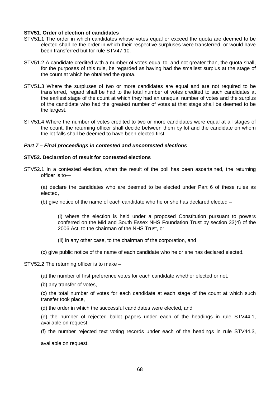## **STV51. Order of election of candidates**

- STV51.1 The order in which candidates whose votes equal or exceed the quota are deemed to be elected shall be the order in which their respective surpluses were transferred, or would have been transferred but for rule STV47.10.
- STV51.2 A candidate credited with a number of votes equal to, and not greater than, the quota shall, for the purposes of this rule, be regarded as having had the smallest surplus at the stage of the count at which he obtained the quota.
- STV51.3 Where the surpluses of two or more candidates are equal and are not required to be transferred, regard shall be had to the total number of votes credited to such candidates at the earliest stage of the count at which they had an unequal number of votes and the surplus of the candidate who had the greatest number of votes at that stage shall be deemed to be the largest.
- STV51.4 Where the number of votes credited to two or more candidates were equal at all stages of the count, the returning officer shall decide between them by lot and the candidate on whom the lot falls shall be deemed to have been elected first.

## *Part 7 – Final proceedings in contested and uncontested elections*

## **STV52. Declaration of result for contested elections**

STV52.1 In a contested election, when the result of the poll has been ascertained, the returning officer is to—

(a) declare the candidates who are deemed to be elected under Part 6 of these rules as elected,

(b) give notice of the name of each candidate who he or she has declared elected –

(i) where the election is held under a proposed Constitution pursuant to powers conferred on the Mid and South Essex NHS Foundation Trust by section 33(4) of the 2006 Act, to the chairman of the NHS Trust, or

- (ii) in any other case, to the chairman of the corporation, and
- (c) give public notice of the name of each candidate who he or she has declared elected.

#### STV52.2 The returning officer is to make –

- (a) the number of first preference votes for each candidate whether elected or not,
- (b) any transfer of votes,

(c) the total number of votes for each candidate at each stage of the count at which such transfer took place,

(d) the order in which the successful candidates were elected, and

(e) the number of rejected ballot papers under each of the headings in rule STV44.1, available on request.

(f) the number rejected text voting records under each of the headings in rule STV44.3,

available on request.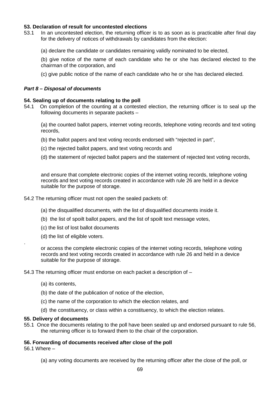# **53. Declaration of result for uncontested elections**

- 53.1 In an uncontested election, the returning officer is to as soon as is practicable after final day for the delivery of notices of withdrawals by candidates from the election:
	- (a) declare the candidate or candidates remaining validly nominated to be elected,
	- (b) give notice of the name of each candidate who he or she has declared elected to the chairman of the corporation, and
	- (c) give public notice of the name of each candidate who he or she has declared elected.

# *Part 8 – Disposal of documents*

## **54. Sealing up of documents relating to the poll**

54.1 On completion of the counting at a contested election, the returning officer is to seal up the following documents in separate packets –

(a) the counted ballot papers, internet voting records, telephone voting records and text voting records,

- (b) the ballot papers and text voting records endorsed with "rejected in part",
- (c) the rejected ballot papers, and text voting records and
- (d) the statement of rejected ballot papers and the statement of rejected text voting records,

and ensure that complete electronic copies of the internet voting records, telephone voting records and text voting records created in accordance with rule 26 are held in a device suitable for the purpose of storage.

- 54.2 The returning officer must not open the sealed packets of:
	- (a) the disqualified documents, with the list of disqualified documents inside it.
	- (b) the list of spoilt ballot papers, and the list of spoilt text message votes,
	- (c) the list of lost ballot documents
	- (d) the list of eligible voters.

or access the complete electronic copies of the internet voting records, telephone voting records and text voting records created in accordance with rule 26 and held in a device suitable for the purpose of storage.

54.3 The returning officer must endorse on each packet a description of –

- (a) its contents,
- (b) the date of the publication of notice of the election,
- (c) the name of the corporation to which the election relates, and
- (d) the constituency, or class within a constituency, to which the election relates.

#### **55. Delivery of documents**

55.1 Once the documents relating to the poll have been sealed up and endorsed pursuant to rule 56, the returning officer is to forward them to the chair of the corporation.

# **56. Forwarding of documents received after close of the poll**

56.1 Where –

.

(a) any voting documents are received by the returning officer after the close of the poll, or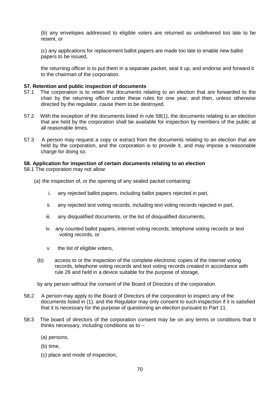(b) any envelopes addressed to eligible voters are returned as undelivered too late to be resent, or

(c) any applications for replacement ballot papers are made too late to enable new ballot papers to be issued,

the returning officer is to put them in a separate packet, seal it up, and endorse and forward it to the chairman of the corporation.

## **57. Retention and public inspection of documents**

- 57.1 The corporation is to retain the documents relating to an election that are forwarded to the chair by the returning officer under these rules for one year, and then, unless otherwise directed by the regulator, cause them to be destroyed.
- 57.2 With the exception of the documents listed in rule 58(1), the documents relating to an election that are held by the corporation shall be available for inspection by members of the public at all reasonable times.
- 57.3 A person may request a copy or extract from the documents relating to an election that are held by the corporation, and the corporation is to provide it, and may impose a reasonable charge for doing so.

## **58. Application for inspection of certain documents relating to an election**

58.1 The corporation may not allow:

- (a) the inspection of, or the opening of any sealed packet containing:
	- i. any rejected ballot papers, including ballot papers rejected in part,
	- ii. any rejected text voting records, including text voting records rejected in part,
	- iii. any disqualified documents, or the list of disqualified documents,
	- iv. any counted ballot papers, internet voting records, telephone voting records or text voting records, or
	- v. the list of eligible voters,
	- (b) access to or the inspection of the complete electronic copies of the internet voting records, telephone voting records and text voting records created in accordance with rule 26 and held in a device suitable for the purpose of storage,

by any person without the consent of the Board of Directors of the corporation.

- 58.2 A person may apply to the Board of Directors of the corporation to inspect any of the documents listed in (1), and the Regulator may only consent to such inspection if it is satisfied that it is necessary for the purpose of questioning an election pursuant to Part 11.
- 58.3 The board of directors of the corporation consent may be on any terms or conditions that it thinks necessary, including conditions as to –
	- (a) persons,
	- (b) time,
	- (c) place and mode of inspection,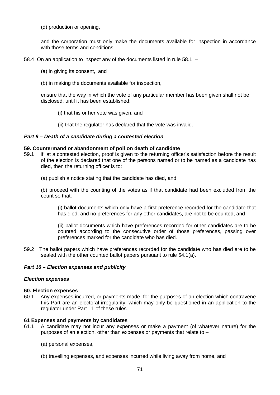(d) production or opening,

and the corporation must only make the documents available for inspection in accordance with those terms and conditions.

58.4 On an application to inspect any of the documents listed in rule 58.1, –

- (a) in giving its consent, and
- (b) in making the documents available for inspection,

ensure that the way in which the vote of any particular member has been given shall not be disclosed, until it has been established:

- (i) that his or her vote was given, and
- (ii) that the regulator has declared that the vote was invalid.

## *Part 9 – Death of a candidate during a contested election*

#### **59. Countermand or abandonment of poll on death of candidate**

- 59.1 If, at a contested election, proof is given to the returning officer's satisfaction before the result of the election is declared that one of the persons named or to be named as a candidate has died, then the returning officer is to:
	- (a) publish a notice stating that the candidate has died, and

(b) proceed with the counting of the votes as if that candidate had been excluded from the count so that:

(i) ballot documents which only have a first preference recorded for the candidate that has died, and no preferences for any other candidates, are not to be counted, and

(ii) ballot documents which have preferences recorded for other candidates are to be counted according to the consecutive order of those preferences, passing over preferences marked for the candidate who has died.

59.2 The ballot papers which have preferences recorded for the candidate who has died are to be sealed with the other counted ballot papers pursuant to rule 54.1(a).

# *Part 10 – Election expenses and publicity*

#### *Election expenses*

#### **60. Election expenses**

60.1Any expenses incurred, or payments made, for the purposes of an election which contravene this Part are an electoral irregularity, which may only be questioned in an application to the regulator under Part 11 of these rules.

#### **61 Expenses and payments by candidates**

- 61.1A candidate may not incur any expenses or make a payment (of whatever nature) for the purposes of an election, other than expenses or payments that relate to –
	- (a) personal expenses,
	- (b) travelling expenses, and expenses incurred while living away from home, and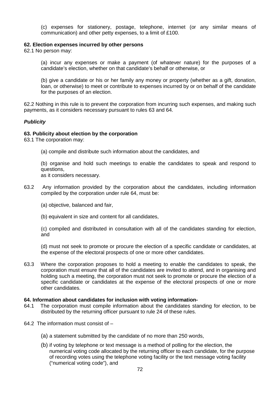(c) expenses for stationery, postage, telephone, internet (or any similar means of communication) and other petty expenses, to a limit of £100.

#### **62. Election expenses incurred by other persons**

62.1 No person may:

(a) incur any expenses or make a payment (of whatever nature) for the purposes of a candidate's election, whether on that candidate's behalf or otherwise, or

(b) give a candidate or his or her family any money or property (whether as a gift, donation, loan, or otherwise) to meet or contribute to expenses incurred by or on behalf of the candidate for the purposes of an election.

62.2 Nothing in this rule is to prevent the corporation from incurring such expenses, and making such payments, as it considers necessary pursuant to rules 63 and 64.

# *Publicity*

## **63. Publicity about election by the corporation**

63.1 The corporation may:

(a) compile and distribute such information about the candidates, and

(b) organise and hold such meetings to enable the candidates to speak and respond to questions,

as it considers necessary.

63.2 Any information provided by the corporation about the candidates, including information compiled by the corporation under rule 64, must be:

(a) objective, balanced and fair,

(b) equivalent in size and content for all candidates,

(c) compiled and distributed in consultation with all of the candidates standing for election, and

(d) must not seek to promote or procure the election of a specific candidate or candidates, at the expense of the electoral prospects of one or more other candidates.

63.3 Where the corporation proposes to hold a meeting to enable the candidates to speak, the corporation must ensure that all of the candidates are invited to attend, and in organising and holding such a meeting, the corporation must not seek to promote or procure the election of a specific candidate or candidates at the expense of the electoral prospects of one or more other candidates.

# **64. Information about candidates for inclusion with voting information-**

- 64.1 The corporation must compile information about the candidates standing for election, to be distributed by the returning officer pursuant to rule 24 of these rules.
- 64.2 The information must consist of
	- (a) a statement submitted by the candidate of no more than 250 words,
	- (b) if voting by telephone or text message is a method of polling for the election, the numerical voting code allocated by the returning officer to each candidate, for the purpose of recording votes using the telephone voting facility or the text message voting facility ("numerical voting code"), and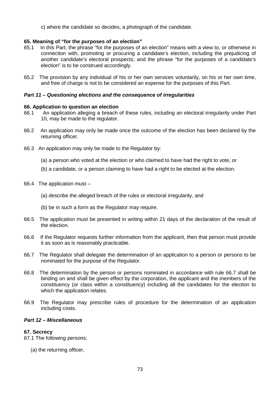c) where the candidate so decides, a photograph of the candidate.

## **65. Meaning of "for the purposes of an election"**

- 65.1 In this Part, the phrase "for the purposes of an election" means with a view to, or otherwise in connection with, promoting or procuring a candidate's election, including the prejudicing of another candidate's electoral prospects; and the phrase "for the purposes of a candidate's election" is to be construed accordingly.
- 65.2 The provision by any individual of his or her own services voluntarily, on his or her own time, and free of charge is not to be considered an expense for the purposes of this Part.

## *Part 11 – Questioning elections and the consequence of irregularities*

### **66. Application to question an election**

- 66.1 An application alleging a breach of these rules, including an electoral irregularity under Part 10, may be made to the regulator.
- 66.2 An application may only be made once the outcome of the election has been declared by the returning officer.
- 66.3 An application may only be made to the Regulator by:
	- (a) a person who voted at the election or who claimed to have had the right to vote, or
	- (b) a candidate, or a person claiming to have had a right to be elected at the election.
- 66.4 The application must
	- (a) describe the alleged breach of the rules or electoral irregularity, and
	- (b) be in such a form as the Regulator may require.
- 66.5 The application must be presented in writing within 21 days of the declaration of the result of the election.
- 66.6 If the Regulator requests further information from the applicant, then that person must provide it as soon as is reasonably practicable.
- 66.7 The Regulator shall delegate the determination of an application to a person or persons to be nominated for the purpose of the Regulator.
- 66.8 The determination by the person or persons nominated in accordance with rule 66.7 shall be binding on and shall be given effect by the corporation, the applicant and the members of the constituency (or class within a constituency) including all the candidates for the election to which the application relates.
- 66.9 The Regulator may prescribe rules of procedure for the determination of an application including costs.

## *Part 12 – Miscellaneous*

## **67. Secrecy**

67.1 The following persons:

(a) the returning officer,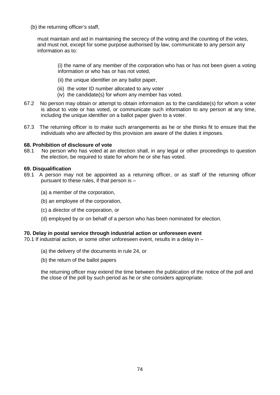(b) the returning officer's staff,

must maintain and aid in maintaining the secrecy of the voting and the counting of the votes, and must not, except for some purpose authorised by law, communicate to any person any information as to:

(i) the name of any member of the corporation who has or has not been given a voting information or who has or has not voted,

- (ii) the unique identifier on any ballot paper,
- (iii) the voter ID number allocated to any voter
- (iv) the candidate(s) for whom any member has voted.
- 67.2 No person may obtain or attempt to obtain information as to the candidate(s) for whom a voter is about to vote or has voted, or communicate such information to any person at any time, including the unique identifier on a ballot paper given to a voter.
- 67.3 The returning officer is to make such arrangements as he or she thinks fit to ensure that the individuals who are affected by this provision are aware of the duties it imposes.

# **68. Prohibition of disclosure of vote**

No person who has voted at an election shall, in any legal or other proceedings to question the election, be required to state for whom he or she has voted.

### **69. Disqualification**

- 69.1 A person may not be appointed as a returning officer, or as staff of the returning officer pursuant to these rules, if that person is –
	- (a) a member of the corporation,
	- (b) an employee of the corporation,
	- (c) a director of the corporation, or
	- (d) employed by or on behalf of a person who has been nominated for election.

#### **70. Delay in postal service through industrial action or unforeseen event**

70.1 If industrial action, or some other unforeseen event, results in a delay in –

- (a) the delivery of the documents in rule 24, or
- (b) the return of the ballot papers

the returning officer may extend the time between the publication of the notice of the poll and the close of the poll by such period as he or she considers appropriate.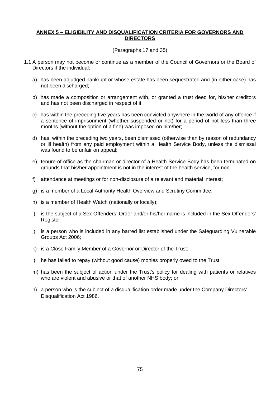## **ANNEX 5 – ELIGIBILITY AND DISQUALIFICATION CRITERIA FOR GOVERNORS AND DIRECTORS**

## (Paragraphs 17 and 35)

- 1.1 A person may not become or continue as a member of the Council of Governors or the Board of Directors if the individual:
	- a) has been adjudged bankrupt or whose estate has been sequestrated and (in either case) has not been discharged;
	- b) has made a composition or arrangement with, or granted a trust deed for, his/her creditors and has not been discharged in respect of it;
	- c) has within the preceding five years has been convicted anywhere in the world of any offence if a sentence of imprisonment (whether suspended or not) for a period of not less than three months (without the option of a fine) was imposed on him/her;
	- d) has, within the preceding two years, been dismissed (otherwise than by reason of redundancy or ill health) from any paid employment within a Health Service Body, unless the dismissal was found to be unfair on appeal;
	- e) tenure of office as the chairman or director of a Health Service Body has been terminated on grounds that his/her appointment is not in the interest of the health service, for non-
	- f) attendance at meetings or for non-disclosure of a relevant and material interest;
	- g) is a member of a Local Authority Health Overview and Scrutiny Committee;
	- h) is a member of Health Watch (nationally or locally);
	- i) is the subject of a Sex Offenders' Order and/or his/her name is included in the Sex Offenders' Register;
	- j) is a person who is included in any barred list established under the Safeguarding Vulnerable Groups Act 2006;
	- k) is a Close Family Member of a Governor or Director of the Trust;
	- l) he has failed to repay (without good cause) monies properly owed to the Trust;
	- m) has been the subject of action under the Trust's policy for dealing with patients or relatives who are violent and abusive or that of another NHS body; or
	- n) a person who is the subject of a disqualification order made under the Company Directors' Disqualification Act 1986.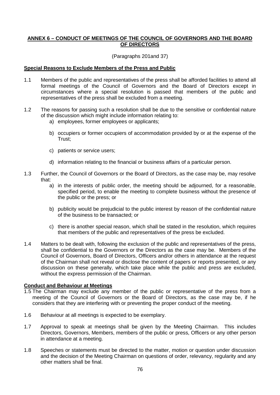## **ANNEX 6 – CONDUCT OF MEETINGS OF THE COUNCIL OF GOVERNORS AND THE BOARD OF DIRECTORS**

(Paragraphs 201and 37)

### **Special Reasons to Exclude Members of the Press and Public**

- 1.1 Members of the public and representatives of the press shall be afforded facilities to attend all formal meetings of the Council of Governors and the Board of Directors except in circumstances where a special resolution is passed that members of the public and representatives of the press shall be excluded from a meeting.
- 1.2 The reasons for passing such a resolution shall be due to the sensitive or confidential nature of the discussion which might include information relating to:
	- a) employees, former employees or applicants;
	- b) occupiers or former occupiers of accommodation provided by or at the expense of the Trust;
	- c) patients or service users;
	- d) information relating to the financial or business affairs of a particular person.
- 1.3 Further, the Council of Governors or the Board of Directors, as the case may be, may resolve that:
	- a) in the interests of public order, the meeting should be adjourned, for a reasonable, specified period, to enable the meeting to complete business without the presence of the public or the press; or
	- b) publicity would be prejudicial to the public interest by reason of the confidential nature of the business to be transacted; or
	- c) there is another special reason, which shall be stated in the resolution, which requires that members of the public and representatives of the press be excluded.
- 1.4 Matters to be dealt with, following the exclusion of the public and representatives of the press, shall be confidential to the Governors or the Directors as the case may be. Members of the Council of Governors, Board of Directors, Officers and/or others in attendance at the request of the Chairman shall not reveal or disclose the content of papers or reports presented, or any discussion on these generally, which take place while the public and press are excluded, without the express permission of the Chairman.

#### **Conduct and Behaviour at Meetings**

- 1.5 The Chairman may exclude any member of the public or representative of the press from a meeting of the Council of Governors or the Board of Directors, as the case may be, if he considers that they are interfering with or preventing the proper conduct of the meeting.
- 1.6 Behaviour at all meetings is expected to be exemplary.
- 1.7 Approval to speak at meetings shall be given by the Meeting Chairman. This includes Directors, Governors, Members, members of the public or press, Officers or any other person in attendance at a meeting.
- 1.8 Speeches or statements must be directed to the matter, motion or question under discussion and the decision of the Meeting Chairman on questions of order, relevancy, regularity and any other matters shall be final.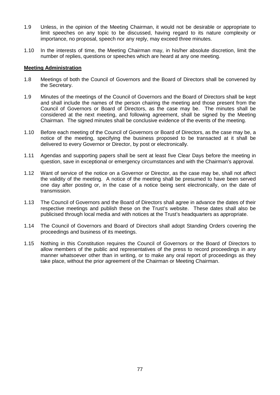- 1.9 Unless, in the opinion of the Meeting Chairman, it would not be desirable or appropriate to limit speeches on any topic to be discussed, having regard to its nature complexity or importance, no proposal, speech nor any reply, may exceed three minutes.
- 1.10 In the interests of time, the Meeting Chairman may, in his/her absolute discretion, limit the number of replies, questions or speeches which are heard at any one meeting.

#### **Meeting Administration**

- 1.8 Meetings of both the Council of Governors and the Board of Directors shall be convened by the Secretary.
- 1.9 Minutes of the meetings of the Council of Governors and the Board of Directors shall be kept and shall include the names of the person chairing the meeting and those present from the Council of Governors or Board of Directors, as the case may be. The minutes shall be considered at the next meeting, and following agreement, shall be signed by the Meeting Chairman. The signed minutes shall be conclusive evidence of the events of the meeting.
- 1.10 Before each meeting of the Council of Governors or Board of Directors, as the case may be, a notice of the meeting, specifying the business proposed to be transacted at it shall be delivered to every Governor or Director, by post or electronically.
- 1.11 Agendas and supporting papers shall be sent at least five Clear Days before the meeting in question, save in exceptional or emergency circumstances and with the Chairman's approval.
- 1.12 Want of service of the notice on a Governor or Director, as the case may be, shall not affect the validity of the meeting. A notice of the meeting shall be presumed to have been served one day after posting or, in the case of a notice being sent electronically, on the date of transmission.
- 1.13 The Council of Governors and the Board of Directors shall agree in advance the dates of their respective meetings and publish these on the Trust's website. These dates shall also be publicised through local media and with notices at the Trust's headquarters as appropriate.
- 1.14 The Council of Governors and Board of Directors shall adopt Standing Orders covering the proceedings and business of its meetings.
- 1.15 Nothing in this Constitution requires the Council of Governors or the Board of Directors to allow members of the public and representatives of the press to record proceedings in any manner whatsoever other than in writing, or to make any oral report of proceedings as they take place, without the prior agreement of the Chairman or Meeting Chairman.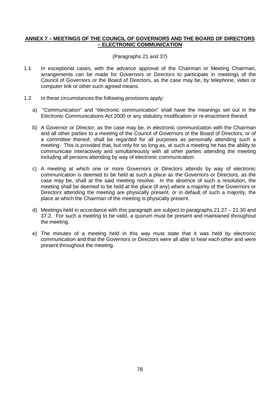## **ANNEX 7 – MEETINGS OF THE COUNCIL OF GOVERNORS AND THE BOARD OF DIRECTORS – ELECTRONIC COMMUNICATION**

### (Paragraphs 21 and 37)

- 1.1 In exceptional cases, with the advance approval of the Chairman or Meeting Chairman, arrangements can be made for Governors or Directors to participate in meetings of the Council of Governors or the Board of Directors, as the case may be, by telephone, video or computer link or other such agreed means.
- 1.2 In these circumstances the following provisions apply:
	- a) "Communication" and "electronic communication" shall have the meanings set out in the Electronic Communications Act 2000 or any statutory modification or re-enactment thereof.
	- b) A Governor or Director, as the case may be, in electronic communication with the Chairman and all other parties to a meeting of the Council of Governors or the Board of Directors, or of a committee thereof, shall be regarded for all purposes as personally attending such a meeting. This is provided that, but only for so long as, at such a meeting he has the ability to communicate interactively and simultaneously with all other parties attending the meeting including all persons attending by way of electronic communication.
	- c) A meeting at which one or more Governors or Directors attends by way of electronic communication is deemed to be held at such a place as the Governors or Directors, as the case may be, shall at the said meeting resolve. In the absence of such a resolution, the meeting shall be deemed to be held at the place (if any) where a majority of the Governors or Directors attending the meeting are physically present, or in default of such a majority, the place at which the Chairman of the meeting is physically present.
	- d) Meetings held in accordance with this paragraph are subject to paragraphs 21.27 21.30 and 37.2. For such a meeting to be valid, a quorum must be present and maintained throughout the meeting.
	- e) The minutes of a meeting held in this way must state that it was held by electronic communication and that the Governors or Directors were all able to hear each other and were present throughout the meeting.